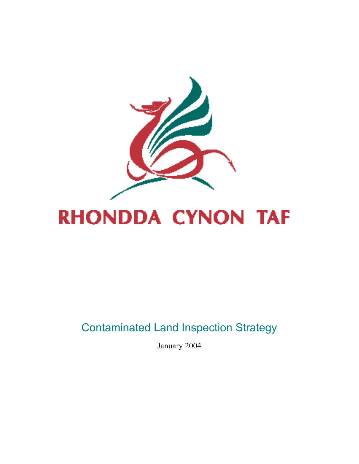

# **RHONDDA CYNON TAF**

# Contaminated Land Inspection Strategy

January 2004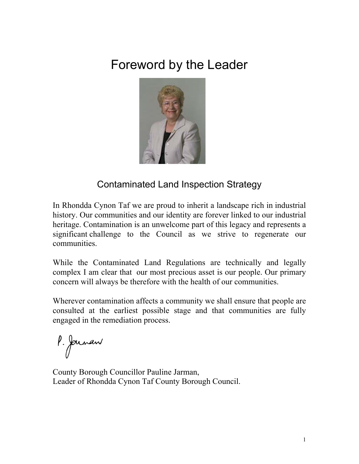# Foreword by the Leader



### Contaminated Land Inspection Strategy

In Rhondda Cynon Taf we are proud to inherit a landscape rich in industrial history. Our communities and our identity are forever linked to our industrial heritage. Contamination is an unwelcome part of this legacy and represents a significant challenge to the Council as we strive to regenerate our communities.

While the Contaminated Land Regulations are technically and legally complex I am clear that our most precious asset is our people. Our primary concern will always be therefore with the health of our communities.

Wherever contamination affects a community we shall ensure that people are consulted at the earliest possible stage and that communities are fully engaged in the remediation process.

P. Jarnan

County Borough Councillor Pauline Jarman, Leader of Rhondda Cynon Taf County Borough Council.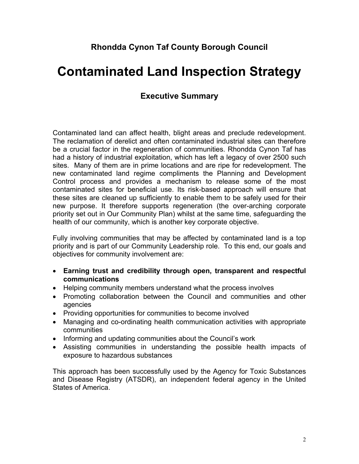#### **Rhondda Cynon Taf County Borough Council**

# **Contaminated Land Inspection Strategy**

#### **Executive Summary**

Contaminated land can affect health, blight areas and preclude redevelopment. The reclamation of derelict and often contaminated industrial sites can therefore be a crucial factor in the regeneration of communities. Rhondda Cynon Taf has had a history of industrial exploitation, which has left a legacy of over 2500 such sites. Many of them are in prime locations and are ripe for redevelopment. The new contaminated land regime compliments the Planning and Development Control process and provides a mechanism to release some of the most contaminated sites for beneficial use. Its risk-based approach will ensure that these sites are cleaned up sufficiently to enable them to be safely used for their new purpose. It therefore supports regeneration (the over-arching corporate priority set out in Our Community Plan) whilst at the same time, safeguarding the health of our community, which is another key corporate objective.

Fully involving communities that may be affected by contaminated land is a top priority and is part of our Community Leadership role. To this end, our goals and objectives for community involvement are:

- **Earning trust and credibility through open, transparent and respectful communications**
- Helping community members understand what the process involves
- Promoting collaboration between the Council and communities and other agencies
- Providing opportunities for communities to become involved
- Managing and co-ordinating health communication activities with appropriate communities
- Informing and updating communities about the Council's work
- Assisting communities in understanding the possible health impacts of exposure to hazardous substances

This approach has been successfully used by the Agency for Toxic Substances and Disease Registry (ATSDR), an independent federal agency in the United States of America.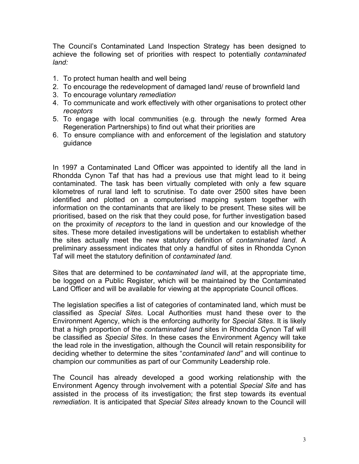The Council's Contaminated Land Inspection Strategy has been designed to achieve the following set of priorities with respect to potentially *contaminated land:*

- 1. To protect human health and well being
- 2. To encourage the redevelopment of damaged land/ reuse of brownfield land
- 3. To encourage voluntary *remediation*
- 4. To communicate and work effectively with other organisations to protect other *receptors*
- 5. To engage with local communities (e.g. through the newly formed Area Regeneration Partnerships) to find out what their priorities are
- 6. To ensure compliance with and enforcement of the legislation and statutory guidance

In 1997 a Contaminated Land Officer was appointed to identify all the land in Rhondda Cynon Taf that has had a previous use that might lead to it being contaminated. The task has been virtually completed with only a few square kilometres of rural land left to scrutinise. To date over 2500 sites have been identified and plotted on a computerised mapping system together with information on the contaminants that are likely to be present. These sites will be prioritised, based on the risk that they could pose, for further investigation based on the proximity of *receptors* to the land in question and our knowledge of the sites. These more detailed investigations will be undertaken to establish whether the sites actually meet the new statutory definition of *contaminated land*. A preliminary assessment indicates that only a handful of sites in Rhondda Cynon Taf will meet the statutory definition of *contaminated land.* 

Sites that are determined to be *contaminated land* will, at the appropriate time, be logged on a Public Register, which will be maintained by the Contaminated Land Officer and will be available for viewing at the appropriate Council offices.

The legislation specifies a list of categories of contaminated land, which must be classified as *Special Sites.* Local Authorities must hand these over to the Environment Agency, which is the enforcing authority for *Special Sites*. It is likely that a high proportion of the *contaminated land* sites in Rhondda Cynon Taf will be classified as *Special Sites*. In these cases the Environment Agency will take the lead role in the investigation, although the Council will retain responsibility for deciding whether to determine the sites "*contaminated land"* and will continue to champion our communities as part of our Community Leadership role.

The Council has already developed a good working relationship with the Environment Agency through involvement with a potential *Special Site* and has assisted in the process of its investigation; the first step towards its eventual *remediation*. It is anticipated that *Special Sites* already known to the Council will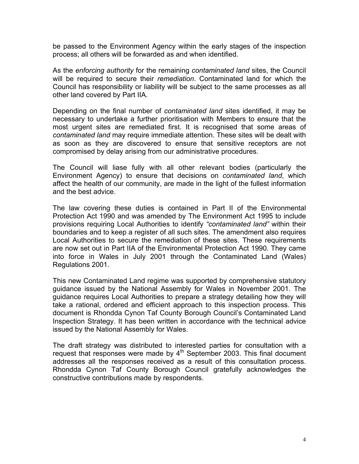be passed to the Environment Agency within the early stages of the inspection process; all others will be forwarded as and when identified.

As the *enforcing authority* for the remaining *contaminated land* sites, the Council will be required to secure their *remediation*. Contaminated land for which the Council has responsibility or liability will be subject to the same processes as all other land covered by Part IIA.

Depending on the final number of *contaminated land* sites identified, it may be necessary to undertake a further prioritisation with Members to ensure that the most urgent sites are remediated first. It is recognised that some areas of *contaminated land* may require immediate attention. These sites will be dealt with as soon as they are discovered to ensure that sensitive receptors are not compromised by delay arising from our administrative procedures.

The Council will liase fully with all other relevant bodies (particularly the Environment Agency) to ensure that decisions on *contaminated land*, which affect the health of our community, are made in the light of the fullest information and the best advice.

The law covering these duties is contained in Part II of the Environmental Protection Act 1990 and was amended by The Environment Act 1995 to include provisions requiring Local Authorities to identify *"contaminated land"* within their boundaries and to keep a register of all such sites. The amendment also requires Local Authorities to secure the remediation of these sites. These requirements are now set out in Part IIA of the Environmental Protection Act 1990. They came into force in Wales in July 2001 through the Contaminated Land (Wales) Regulations 2001.

This new Contaminated Land regime was supported by comprehensive statutory guidance issued by the National Assembly for Wales in November 2001. The guidance requires Local Authorities to prepare a strategy detailing how they will take a rational, ordered and efficient approach to this inspection process. This document is Rhondda Cynon Taf County Borough Council's Contaminated Land Inspection Strategy. It has been written in accordance with the technical advice issued by the National Assembly for Wales.

The draft strategy was distributed to interested parties for consultation with a request that responses were made by  $4<sup>th</sup>$  September 2003. This final document addresses all the responses received as a result of this consultation process. Rhondda Cynon Taf County Borough Council gratefully acknowledges the constructive contributions made by respondents.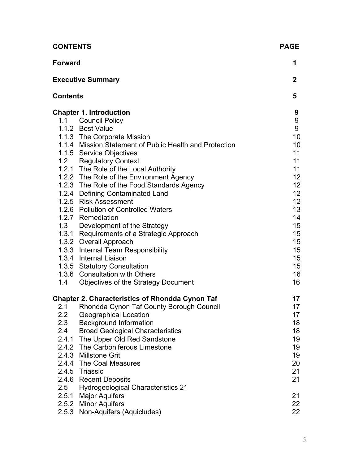| <b>CONTENTS</b>                              |                                                                                                                                                                                                                                                                                                                                                                                                                                                                                                                                                                                                                                                                                                                                                                                   |                                                                                                                                                                                                             |
|----------------------------------------------|-----------------------------------------------------------------------------------------------------------------------------------------------------------------------------------------------------------------------------------------------------------------------------------------------------------------------------------------------------------------------------------------------------------------------------------------------------------------------------------------------------------------------------------------------------------------------------------------------------------------------------------------------------------------------------------------------------------------------------------------------------------------------------------|-------------------------------------------------------------------------------------------------------------------------------------------------------------------------------------------------------------|
| <b>Forward</b>                               |                                                                                                                                                                                                                                                                                                                                                                                                                                                                                                                                                                                                                                                                                                                                                                                   |                                                                                                                                                                                                             |
|                                              | <b>Executive Summary</b>                                                                                                                                                                                                                                                                                                                                                                                                                                                                                                                                                                                                                                                                                                                                                          | $\mathbf{2}$                                                                                                                                                                                                |
| <b>Contents</b>                              |                                                                                                                                                                                                                                                                                                                                                                                                                                                                                                                                                                                                                                                                                                                                                                                   | 5                                                                                                                                                                                                           |
| 1.4                                          | <b>Chapter 1. Introduction</b><br>1.1 Council Policy<br>1.1.2 Best Value<br>1.1.3 The Corporate Mission<br>1.1.4 Mission Statement of Public Health and Protection<br>1.1.5 Service Objectives<br>1.2 Regulatory Context<br>1.2.1 The Role of the Local Authority<br>1.2.2 The Role of the Environment Agency<br>1.2.3 The Role of the Food Standards Agency<br>1.2.4 Defining Contaminated Land<br>1.2.5 Risk Assessment<br>1.2.6 Pollution of Controlled Waters<br>1.2.7 Remediation<br>1.3 Development of the Strategy<br>1.3.1 Requirements of a Strategic Approach<br>1.3.2 Overall Approach<br>1.3.3 Internal Team Responsibility<br>1.3.4 Internal Liaison<br>1.3.5 Statutory Consultation<br>1.3.6 Consultation with Others<br><b>Objectives of the Strategy Document</b> | 9<br>9<br>9<br>10<br>10<br>11<br>11<br>11<br>12 <sub>2</sub><br>12 <sup>°</sup><br>12 <sup>°</sup><br>12 <sub>2</sub><br>13<br>14<br>15<br>15 <sub>1</sub><br>15 <sub>1</sub><br>15<br>15<br>15<br>16<br>16 |
| 2.1<br>$2.2\phantom{0}$<br>2.3<br>2.4<br>2.5 | <b>Chapter 2. Characteristics of Rhondda Cynon Taf</b><br>Rhondda Cynon Taf County Borough Council<br><b>Geographical Location</b><br><b>Background Information</b><br><b>Broad Geological Characteristics</b><br>2.4.1 The Upper Old Red Sandstone<br>2.4.2 The Carboniferous Limestone<br>2.4.3 Millstone Grit<br>2.4.4 The Coal Measures<br>2.4.5 Triassic<br>2.4.6 Recent Deposits<br><b>Hydrogeological Characteristics 21</b><br>2.5.1 Major Aquifers<br>2.5.2 Minor Aquifers                                                                                                                                                                                                                                                                                               | 17<br>17<br>17<br>18<br>18<br>19<br>19<br>19<br>20<br>21<br>21<br>21<br>22                                                                                                                                  |
|                                              | 2.5.3 Non-Aquifers (Aquicludes)                                                                                                                                                                                                                                                                                                                                                                                                                                                                                                                                                                                                                                                                                                                                                   | 22                                                                                                                                                                                                          |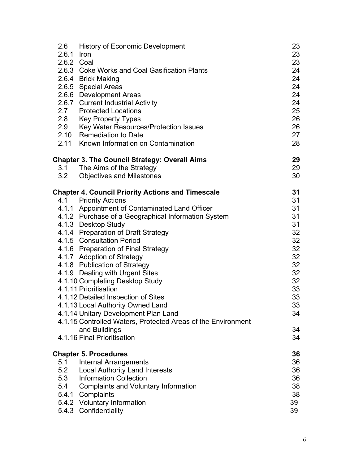| 2.6        | <b>History of Economic Development</b>                       | 23 |
|------------|--------------------------------------------------------------|----|
| 2.6.1 Iron |                                                              | 23 |
|            | 2.6.2 Coal                                                   | 23 |
|            | 2.6.3 Coke Works and Coal Gasification Plants                |    |
|            | 2.6.4 Brick Making                                           | 24 |
|            | 2.6.5 Special Areas                                          | 24 |
|            | 2.6.6 Development Areas                                      | 24 |
|            | 2.6.7 Current Industrial Activity                            | 24 |
|            | 2.7 Protected Locations                                      | 25 |
| 2.8        | <b>Key Property Types</b>                                    | 26 |
| 2.9        | Key Water Resources/Protection Issues                        | 26 |
|            | 2.10 Remediation to Date                                     | 27 |
|            | 2.11 Known Information on Contamination                      | 28 |
|            | <b>Chapter 3. The Council Strategy: Overall Aims</b>         | 29 |
|            | 3.1 The Aims of the Strategy                                 | 29 |
| 3.2        | <b>Objectives and Milestones</b>                             | 30 |
|            | <b>Chapter 4. Council Priority Actions and Timescale</b>     | 31 |
|            | 4.1 Priority Actions                                         | 31 |
|            | 4.1.1 Appointment of Contaminated Land Officer               | 31 |
|            | 4.1.2 Purchase of a Geographical Information System          | 31 |
|            | 4.1.3 Desktop Study                                          | 31 |
|            | 4.1.4 Preparation of Draft Strategy                          | 32 |
|            | 4.1.5 Consultation Period                                    | 32 |
|            | 4.1.6 Preparation of Final Strategy                          | 32 |
|            | 4.1.7 Adoption of Strategy                                   | 32 |
|            | 4.1.8 Publication of Strategy                                | 32 |
|            | 4.1.9 Dealing with Urgent Sites                              | 32 |
|            | 4.1.10 Completing Desktop Study                              | 32 |
|            | 4.1.11 Prioritisation                                        | 33 |
|            | 4.1.12 Detailed Inspection of Sites                          | 33 |
|            | 4.1.13 Local Authority Owned Land                            | 33 |
|            | 4.1.14 Unitary Development Plan Land                         | 34 |
|            | 4.1.15 Controlled Waters, Protected Areas of the Environment |    |
|            | and Buildings                                                | 34 |
|            | 4.1.16 Final Prioritisation                                  | 34 |
|            | <b>Chapter 5. Procedures</b>                                 | 36 |
| 5.1        | <b>Internal Arrangements</b>                                 | 36 |
| 5.2        | <b>Local Authority Land Interests</b>                        | 36 |
| 5.3        | <b>Information Collection</b>                                | 36 |
| 5.4        | <b>Complaints and Voluntary Information</b>                  | 38 |
| 5.4.1      | Complaints                                                   | 38 |
|            | 5.4.2 Voluntary Information                                  | 39 |
|            | 5.4.3 Confidentiality                                        | 39 |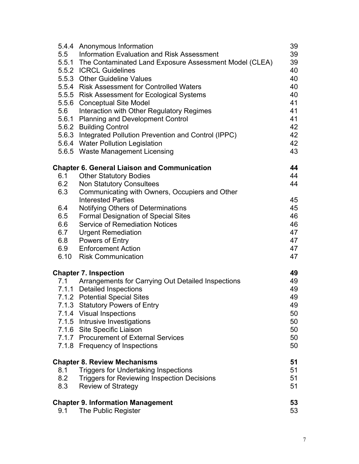|     | 5.4.4 Anonymous Information                                                        | 39       |  |
|-----|------------------------------------------------------------------------------------|----------|--|
| 5.5 | <b>Information Evaluation and Risk Assessment</b>                                  | 39       |  |
|     | 5.5.1 The Contaminated Land Exposure Assessment Model (CLEA)                       |          |  |
|     | 5.5.2 ICRCL Guidelines                                                             |          |  |
|     | 5.5.3 Other Guideline Values                                                       | 40<br>40 |  |
|     | 5.5.4 Risk Assessment for Controlled Waters                                        | 40       |  |
|     | 5.5.5 Risk Assessment for Ecological Systems                                       | 40       |  |
|     | 5.5.6 Conceptual Site Model                                                        |          |  |
| 5.6 | Interaction with Other Regulatory Regimes                                          | 41<br>41 |  |
|     | 5.6.1 Planning and Development Control                                             | 41       |  |
|     | 5.6.2 Building Control                                                             | 42       |  |
|     | 5.6.3 Integrated Pollution Prevention and Control (IPPC)                           | 42       |  |
|     | 5.6.4 Water Pollution Legislation                                                  | 42       |  |
|     | 5.6.5 Waste Management Licensing                                                   | 43       |  |
|     |                                                                                    |          |  |
|     | <b>Chapter 6. General Liaison and Communication</b>                                | 44       |  |
| 6.1 | <b>Other Statutory Bodies</b>                                                      | 44       |  |
| 6.2 | <b>Non Statutory Consultees</b>                                                    | 44       |  |
| 6.3 | Communicating with Owners, Occupiers and Other                                     |          |  |
|     | <b>Interested Parties</b>                                                          | 45       |  |
| 6.4 | Notifying Others of Determinations                                                 | 45       |  |
| 6.5 | <b>Formal Designation of Special Sites</b>                                         | 46       |  |
| 6.6 | <b>Service of Remediation Notices</b>                                              | 46       |  |
| 6.7 | <b>Urgent Remediation</b>                                                          | 47       |  |
| 6.8 | Powers of Entry                                                                    | 47       |  |
| 6.9 | <b>Enforcement Action</b>                                                          | 47       |  |
|     | 6.10 Risk Communication                                                            | 47       |  |
|     | <b>Chapter 7. Inspection</b>                                                       | 49       |  |
|     | 7.1 Arrangements for Carrying Out Detailed Inspections                             | 49       |  |
|     | 7.1.1 Detailed Inspections                                                         | 49       |  |
|     | 7.1.2 Potential Special Sites                                                      | 49       |  |
|     | 7.1.3 Statutory Powers of Entry                                                    | 49       |  |
|     | 7.1.4 Visual Inspections                                                           | 50       |  |
|     | 7.1.5 Intrusive Investigations                                                     | 50       |  |
|     | 7.1.6 Site Specific Liaison                                                        | 50       |  |
|     | 7.1.7 Procurement of External Services                                             | 50       |  |
|     | 7.1.8 Frequency of Inspections                                                     | 50       |  |
|     |                                                                                    | 51       |  |
| 8.1 | <b>Chapter 8. Review Mechanisms</b><br><b>Triggers for Undertaking Inspections</b> | 51       |  |
| 8.2 |                                                                                    | 51       |  |
|     | <b>Triggers for Reviewing Inspection Decisions</b>                                 |          |  |
| 8.3 | <b>Review of Strategy</b>                                                          | 51       |  |
|     | <b>Chapter 9. Information Management</b>                                           | 53       |  |
| 9.1 | The Public Register                                                                | 53       |  |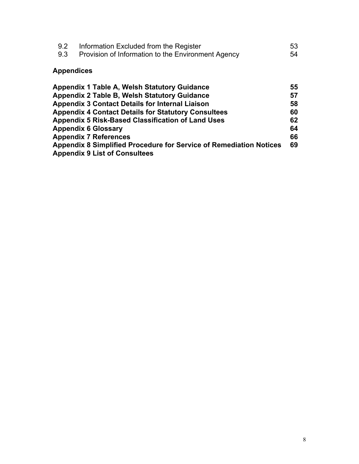| 9.2 | Information Excluded from the Register             | 53 |
|-----|----------------------------------------------------|----|
| 9.3 | Provision of Information to the Environment Agency | 54 |

### **Appendices**

| <b>Appendix 1 Table A, Welsh Statutory Guidance</b>                | 55 |
|--------------------------------------------------------------------|----|
| <b>Appendix 2 Table B, Welsh Statutory Guidance</b>                | 57 |
| <b>Appendix 3 Contact Details for Internal Liaison</b>             | 58 |
| <b>Appendix 4 Contact Details for Statutory Consultees</b>         | 60 |
| <b>Appendix 5 Risk-Based Classification of Land Uses</b>           | 62 |
| <b>Appendix 6 Glossary</b>                                         | 64 |
| <b>Appendix 7 References</b>                                       | 66 |
| Appendix 8 Simplified Procedure for Service of Remediation Notices | 69 |
| <b>Appendix 9 List of Consultees</b>                               |    |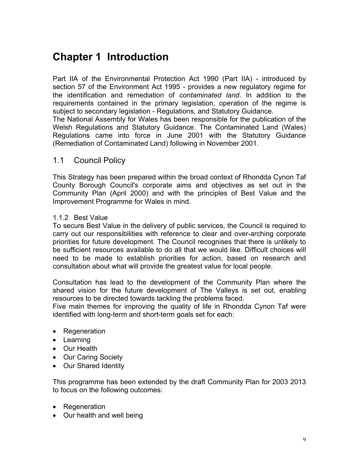# **Chapter 1 Introduction**

Part IIA of the Environmental Protection Act 1990 (Part IIA) - introduced by section 57 of the Environment Act 1995 - provides a new regulatory regime for the identification and remediation of *contaminated land*. In addition to the requirements contained in the primary legislation, operation of the regime is subject to secondary legislation - Regulations, and Statutory Guidance.

The National Assembly for Wales has been responsible for the publication of the Welsh Regulations and Statutory Guidance. The Contaminated Land (Wales) Regulations came into force in June 2001 with the Statutory Guidance (Remediation of Contaminated Land) following in November 2001.

#### 1.1 Council Policy

This Strategy has been prepared within the broad context of Rhondda Cynon Taf County Borough Council's corporate aims and objectives as set out in the Community Plan (April 2000) and with the principles of Best Value and the Improvement Programme for Wales in mind.

#### 1.1.2 Best Value

To secure Best Value in the delivery of public services, the Council is required to carry out our responsibilities with reference to clear and over-arching corporate priorities for future development. The Council recognises that there is unlikely to be sufficient resources available to do all that we would like. Difficult choices will need to be made to establish priorities for action, based on research and consultation about what will provide the greatest value for local people.

Consultation has lead to the development of the Community Plan where the shared vision for the future development of The Valleys is set out, enabling resources to be directed towards tackling the problems faced.

Five main themes for improving the quality of life in Rhondda Cynon Taf were identified with long-term and short-term goals set for each:

- Regeneration
- Learning
- Our Health
- Our Caring Society
- Our Shared Identity

This programme has been extended by the draft Community Plan for 2003 2013 to focus on the following outcomes:

- Regeneration
- Our health and well being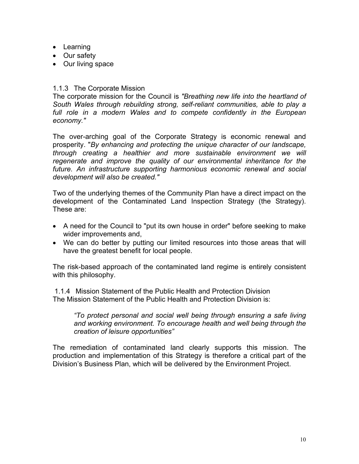- Learning
- Our safety
- Our living space

#### 1.1.3 The Corporate Mission

The corporate mission for the Council is *"Breathing new life into the heartland of South Wales through rebuilding strong, self-reliant communities, able to play a*  full role in a modern Wales and to compete confidently in the European *economy."* 

The over-arching goal of the Corporate Strategy is economic renewal and prosperity. "*By enhancing and protecting the unique character of our landscape, through creating a healthier and more sustainable environment we will regenerate and improve the quality of our environmental inheritance for the future. An infrastructure supporting harmonious economic renewal and social development will also be created."* 

Two of the underlying themes of the Community Plan have a direct impact on the development of the Contaminated Land Inspection Strategy (the Strategy). These are:

- A need for the Council to "put its own house in order" before seeking to make wider improvements and,
- We can do better by putting our limited resources into those areas that will have the greatest benefit for local people.

The risk-based approach of the contaminated land regime is entirely consistent with this philosophy.

1.1.4 Mission Statement of the Public Health and Protection Division The Mission Statement of the Public Health and Protection Division is:

*"To protect personal and social well being through ensuring a safe living and working environment. To encourage health and well being through the creation of leisure opportunities"* 

The remediation of contaminated land clearly supports this mission. The production and implementation of this Strategy is therefore a critical part of the Division's Business Plan, which will be delivered by the Environment Project.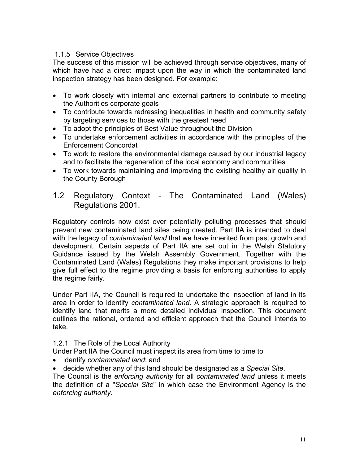#### 1.1.5 Service Objectives

The success of this mission will be achieved through service objectives, many of which have had a direct impact upon the way in which the contaminated land inspection strategy has been designed. For example:

- To work closely with internal and external partners to contribute to meeting the Authorities corporate goals
- To contribute towards redressing inequalities in health and community safety by targeting services to those with the greatest need
- To adopt the principles of Best Value throughout the Division
- To undertake enforcement activities in accordance with the principles of the Enforcement Concordat
- To work to restore the environmental damage caused by our industrial legacy and to facilitate the regeneration of the local economy and communities
- To work towards maintaining and improving the existing healthy air quality in the County Borough

#### 1.2 Regulatory Context - The Contaminated Land (Wales) Regulations 2001.

Regulatory controls now exist over potentially polluting processes that should prevent new contaminated land sites being created. Part IIA is intended to deal with the legacy of *contaminated land* that we have inherited from past growth and development. Certain aspects of Part IIA are set out in the Welsh Statutory Guidance issued by the Welsh Assembly Government. Together with the Contaminated Land (Wales) Regulations they make important provisions to help give full effect to the regime providing a basis for enforcing authorities to apply the regime fairly.

Under Part IIA, the Council is required to undertake the inspection of land in its area in order to identify *contaminated land*. A strategic approach is required to identify land that merits a more detailed individual inspection. This document outlines the rational, ordered and efficient approach that the Council intends to take.

#### 1.2.1 The Role of the Local Authority

Under Part IIA the Council must inspect its area from time to time to

- identify *contaminated land*; and
- decide whether any of this land should be designated as a *Special Site*.

The Council is the *enforcing authority* for all *contaminated land* unless it meets the definition of a "*Special Site*" in which case the Environment Agency is the *enforcing authority*.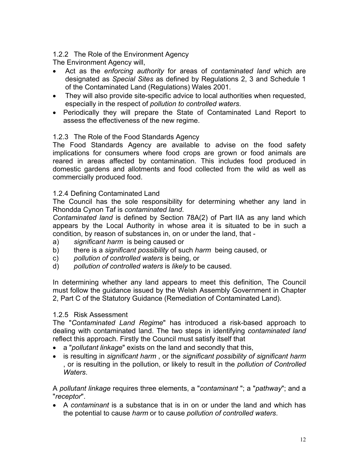#### 1.2.2 The Role of the Environment Agency

The Environment Agency will,

- Act as the *enforcing authority* for areas of *contaminated land* which are designated as *Special Sites* as defined by Regulations 2, 3 and Schedule 1 of the Contaminated Land (Regulations) Wales 2001.
- They will also provide site-specific advice to local authorities when requested, especially in the respect of *pollution to controlled waters*.
- Periodically they will prepare the State of Contaminated Land Report to assess the effectiveness of the new regime.

#### 1.2.3 The Role of the Food Standards Agency

The Food Standards Agency are available to advise on the food safety implications for consumers where food crops are grown or food animals are reared in areas affected by contamination. This includes food produced in domestic gardens and allotments and food collected from the wild as well as commercially produced food.

#### 1.2.4 Defining Contaminated Land

The Council has the sole responsibility for determining whether any land in Rhondda Cynon Taf is *contaminated land*.

*Contaminated land* is defined by Section 78A(2) of Part IIA as any land which appears by the Local Authority in whose area it is situated to be in such a condition, by reason of substances in, on or under the land, that -

- a) *significant harm* is being caused or
- b) there is a *significant possibility* of such *harm* being caused, or
- c) *pollution of controlled waters* is being, or
- d) *pollution of controlled waters* is *likely* to be caused.

In determining whether any land appears to meet this definition, The Council must follow the guidance issued by the Welsh Assembly Government in Chapter 2, Part C of the Statutory Guidance (Remediation of Contaminated Land).

#### 1.2.5 Risk Assessment

The "*Contaminated Land Regime*" has introduced a risk-based approach to dealing with contaminated land. The two steps in identifying *contaminated land* reflect this approach. Firstly the Council must satisfy itself that

- a "*pollutant linkage*" exists on the land and secondly that this,
- is resulting in *significant harm* , or the *significant possibility of significant harm* , or is resulting in the pollution, or likely to result in the *pollution of Controlled Waters*.

A *pollutant linkage* requires three elements, a "*contaminant* "; a "*pathway*"; and a "*receptor*".

• A *contaminant* is a substance that is in on or under the land and which has the potential to cause *harm* or to cause *pollution of controlled waters*.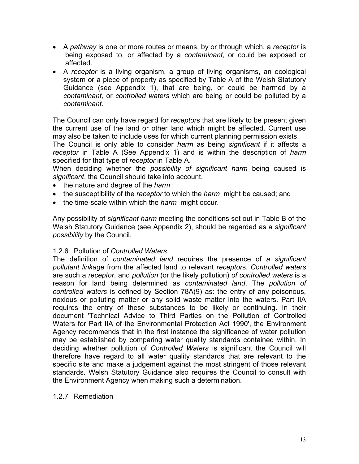- A *pathway* is one or more routes or means, by or through which, a *receptor* is being exposed to, or affected by a *contaminant*, or could be exposed or affected.
- A *receptor* is a living organism, a group of living organisms, an ecological system or a piece of property as specified by Table A of the Welsh Statutory Guidance (see Appendix 1), that are being, or could be harmed by a *contaminant,* or *controlled waters* which are being or could be polluted by a *contaminant*.

The Council can only have regard for *receptor*s that are likely to be present given the current use of the land or other land which might be affected. Current use may also be taken to include uses for which current planning permission exists.

The Council is only able to consider *harm* as being *significant* if it affects a *receptor* in Table A (See Appendix 1) and is within the description of *harm* specified for that type of *receptor* in Table A.

When deciding whether the *possibility of significant harm* being caused is *significant*, the Council should take into account,

- the nature and degree of the *harm* ;
- the susceptibility of the *receptor* to which the *harm* might be caused; and
- the time-scale within which the *harm* might occur.

Any possibility of *significant harm* meeting the conditions set out in Table B of the Welsh Statutory Guidance (see Appendix 2), should be regarded as a *significant possibility* by the Council.

#### 1.2.6 Pollution of *Controlled Waters*

The definition of *contaminated land* requires the presence of *a significant pollutant linkage* from the affected land to relevant *receptor*s. *Controlled waters* are such a *receptor*, and *pollution* (or the likely pollution) *of controlled waters* is a reason for land being determined as *contaminated land*. The *pollution of controlled waters* is defined by Section 78A(9) as: the entry of any poisonous, noxious or polluting matter or any solid waste matter into the waters. Part IIA requires the entry of these substances to be likely or continuing. In their document 'Technical Advice to Third Parties on the Pollution of Controlled Waters for Part IIA of the Environmental Protection Act 1990', the Environment Agency recommends that in the first instance the significance of water pollution may be established by comparing water quality standards contained within. In deciding whether pollution of *Controlled Waters* is significant the Council will therefore have regard to all water quality standards that are relevant to the specific site and make a judgement against the most stringent of those relevant standards. Welsh Statutory Guidance also requires the Council to consult with the Environment Agency when making such a determination.

#### 1.2.7 Remediation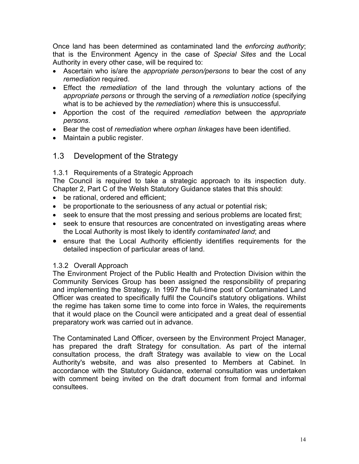Once land has been determined as contaminated land the *enforcing authority*; that is the Environment Agency in the case of *Special Sites* and the Local Authority in every other case, will be required to:

- Ascertain who is/are the *appropriate person/persons* to bear the cost of any *remediation* required.
- Effect the *remediation* of the land through the voluntary actions of the *appropriate persons* or through the serving of a *remediation notice* (specifying what is to be achieved by the *remediation*) where this is unsuccessful.
- Apportion the cost of the required *remediation* between the *appropriate persons*.
- Bear the cost of *remediation* where *orphan linkages* have been identified.
- Maintain a public register.

#### 1.3 Development of the Strategy

#### 1.3.1 Requirements of a Strategic Approach

The Council is required to take a strategic approach to its inspection duty. Chapter 2, Part C of the Welsh Statutory Guidance states that this should:

- be rational, ordered and efficient;
- be proportionate to the seriousness of any actual or potential risk;
- seek to ensure that the most pressing and serious problems are located first;
- seek to ensure that resources are concentrated on investigating areas where the Local Authority is most likely to identify *contaminated land*; and
- ensure that the Local Authority efficiently identifies requirements for the detailed inspection of particular areas of land.

#### 1.3.2 Overall Approach

The Environment Project of the Public Health and Protection Division within the Community Services Group has been assigned the responsibility of preparing and implementing the Strategy. In 1997 the full-time post of Contaminated Land Officer was created to specifically fulfil the Council's statutory obligations. Whilst the regime has taken some time to come into force in Wales, the requirements that it would place on the Council were anticipated and a great deal of essential preparatory work was carried out in advance.

The Contaminated Land Officer, overseen by the Environment Project Manager, has prepared the draft Strategy for consultation. As part of the internal consultation process, the draft Strategy was available to view on the Local Authority's website, and was also presented to Members at Cabinet. In accordance with the Statutory Guidance, external consultation was undertaken with comment being invited on the draft document from formal and informal consultees.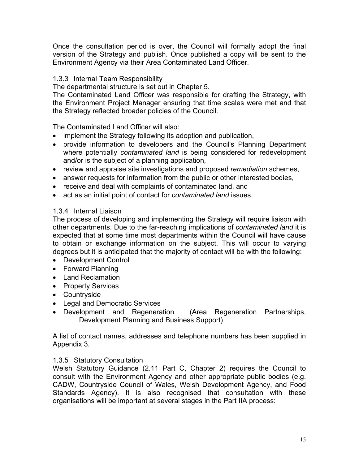Once the consultation period is over, the Council will formally adopt the final version of the Strategy and publish. Once published a copy will be sent to the Environment Agency via their Area Contaminated Land Officer.

#### 1.3.3 Internal Team Responsibility

The departmental structure is set out in Chapter 5.

The Contaminated Land Officer was responsible for drafting the Strategy, with the Environment Project Manager ensuring that time scales were met and that the Strategy reflected broader policies of the Council.

The Contaminated Land Officer will also:

- implement the Strategy following its adoption and publication,
- provide information to developers and the Council's Planning Department where potentially *contaminated land* is being considered for redevelopment and/or is the subject of a planning application,
- review and appraise site investigations and proposed *remediation* schemes,
- answer requests for information from the public or other interested bodies,
- receive and deal with complaints of contaminated land, and
- act as an initial point of contact for *contaminated land* issues.

#### 1.3.4 Internal Liaison

The process of developing and implementing the Strategy will require liaison with other departments. Due to the far-reaching implications of *contaminated land* it is expected that at some time most departments within the Council will have cause to obtain or exchange information on the subject. This will occur to varying degrees but it is anticipated that the majority of contact will be with the following:

- Development Control
- Forward Planning
- Land Reclamation
- Property Services
- Countryside
- Legal and Democratic Services
- Development and Regeneration (Area Regeneration Partnerships, Development Planning and Business Support)

A list of contact names, addresses and telephone numbers has been supplied in Appendix 3.

#### 1.3.5 Statutory Consultation

Welsh Statutory Guidance (2.11 Part C, Chapter 2) requires the Council to consult with the Environment Agency and other appropriate public bodies (e.g. CADW, Countryside Council of Wales, Welsh Development Agency, and Food Standards Agency). It is also recognised that consultation with these organisations will be important at several stages in the Part IIA process: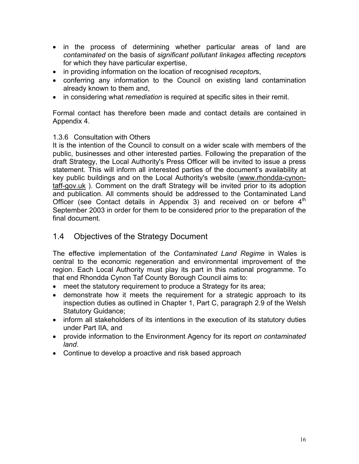- in the process of determining whether particular areas of land are *contaminated* on the basis of *significant pollutant linkages* affecting *receptor*s for which they have particular expertise,
- in providing information on the location of recognised *receptor*s,
- conferring any information to the Council on existing land contamination already known to them and,
- in considering what *remediation* is required at specific sites in their remit.

Formal contact has therefore been made and contact details are contained in Appendix 4.

#### 1.3.6 Consultation with Others

It is the intention of the Council to consult on a wider scale with members of the public, businesses and other interested parties. Following the preparation of the draft Strategy, the Local Authority's Press Officer will be invited to issue a press statement. This will inform all interested parties of the document's availability at key public buildings and on the Local Authority's website ([www.rhondda-cynon](http://www.rhondda.cynon.taff.gov.uk/)[taff-gov.uk](http://www.rhondda.cynon.taff.gov.uk/) ). Comment on the draft Strategy will be invited prior to its adoption and publication. All comments should be addressed to the Contaminated Land Officer (see Contact details in Appendix 3) and received on or before  $4<sup>th</sup>$ September 2003 in order for them to be considered prior to the preparation of the final document.

#### 1.4 Objectives of the Strategy Document

The effective implementation of the *Contaminated Land Regime* in Wales is central to the economic regeneration and environmental improvement of the region. Each Local Authority must play its part in this national programme. To that end Rhondda Cynon Taf County Borough Council aims to:

- meet the statutory requirement to produce a Strategy for its area:
- demonstrate how it meets the requirement for a strategic approach to its inspection duties as outlined in Chapter 1, Part C, paragraph 2.9 of the Welsh Statutory Guidance;
- inform all stakeholders of its intentions in the execution of its statutory duties under Part IIA, and
- provide information to the Environment Agency for its report *on contaminated land*.
- Continue to develop a proactive and risk based approach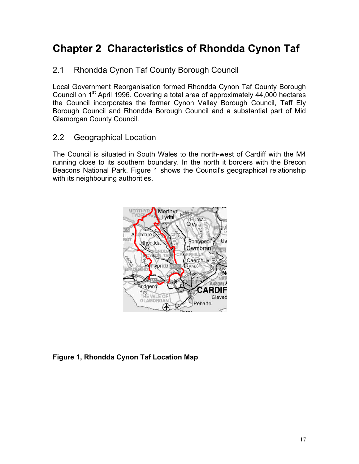# **Chapter 2 Characteristics of Rhondda Cynon Taf**

#### 2.1 Rhondda Cynon Taf County Borough Council

Local Government Reorganisation formed Rhondda Cynon Taf County Borough Council on 1<sup>st</sup> April 1996. Covering a total area of approximately 44,000 hectares the Council incorporates the former Cynon Valley Borough Council, Taff Ely Borough Council and Rhondda Borough Council and a substantial part of Mid Glamorgan County Council.

#### 2.2 Geographical Location

The Council is situated in South Wales to the north-west of Cardiff with the M4 running close to its southern boundary. In the north it borders with the Brecon Beacons National Park. Figure 1 shows the Council's geographical relationship with its neighbouring authorities.



**Figure 1, Rhondda Cynon Taf Location Map**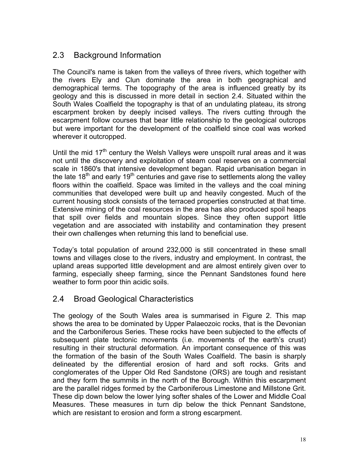#### 2.3 Background Information

The Council's name is taken from the valleys of three rivers, which together with the rivers Ely and Clun dominate the area in both geographical and demographical terms. The topography of the area is influenced greatly by its geology and this is discussed in more detail in section 2.4. Situated within the South Wales Coalfield the topography is that of an undulating plateau, its strong escarpment broken by deeply incised valleys. The rivers cutting through the escarpment follow courses that bear little relationship to the geological outcrops but were important for the development of the coalfield since coal was worked wherever it outcropped.

Until the mid  $17<sup>th</sup>$  century the Welsh Valleys were unspoilt rural areas and it was not until the discovery and exploitation of steam coal reserves on a commercial scale in 1860's that intensive development began. Rapid urbanisation began in the late  $18<sup>th</sup>$  and early  $19<sup>th</sup>$  centuries and gave rise to settlements along the valley floors within the coalfield. Space was limited in the valleys and the coal mining communities that developed were built up and heavily congested. Much of the current housing stock consists of the terraced properties constructed at that time. Extensive mining of the coal resources in the area has also produced spoil heaps that spill over fields and mountain slopes. Since they often support little vegetation and are associated with instability and contamination they present their own challenges when returning this land to beneficial use.

Today's total population of around 232,000 is still concentrated in these small towns and villages close to the rivers, industry and employment. In contrast, the upland areas supported little development and are almost entirely given over to farming, especially sheep farming, since the Pennant Sandstones found here weather to form poor thin acidic soils.

#### 2.4 Broad Geological Characteristics

The geology of the South Wales area is summarised in Figure 2. This map shows the area to be dominated by Upper Palaeozoic rocks, that is the Devonian and the Carboniferous Series. These rocks have been subjected to the effects of subsequent plate tectonic movements (i.e. movements of the earth's crust) resulting in their structural deformation. An important consequence of this was the formation of the basin of the South Wales Coalfield. The basin is sharply delineated by the differential erosion of hard and soft rocks. Grits and conglomerates of the Upper Old Red Sandstone (ORS) are tough and resistant and they form the summits in the north of the Borough. Within this escarpment are the parallel ridges formed by the Carboniferous Limestone and Millstone Grit. These dip down below the lower lying softer shales of the Lower and Middle Coal Measures. These measures in turn dip below the thick Pennant Sandstone, which are resistant to erosion and form a strong escarpment.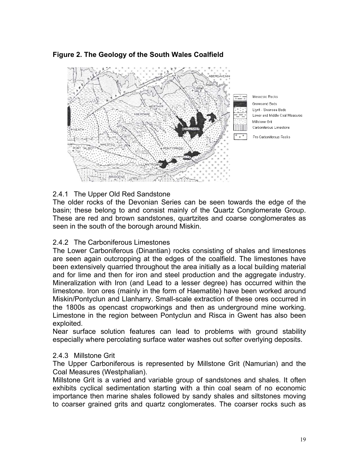#### **Figure 2. The Geology of the South Wales Coalfield**



#### 2.4.1 The Upper Old Red Sandstone

The older rocks of the Devonian Series can be seen towards the edge of the basin; these belong to and consist mainly of the Quartz Conglomerate Group. These are red and brown sandstones, quartzites and coarse conglomerates as seen in the south of the borough around Miskin.

#### 2.4.2 The Carboniferous Limestones

The Lower Carboniferous (Dinantian) rocks consisting of shales and limestones are seen again outcropping at the edges of the coalfield. The limestones have been extensively quarried throughout the area initially as a local building material and for lime and then for iron and steel production and the aggregate industry. Mineralization with Iron (and Lead to a lesser degree) has occurred within the limestone. Iron ores (mainly in the form of Haematite) have been worked around Miskin/Pontyclun and Llanharry. Small-scale extraction of these ores occurred in the 1800s as opencast cropworkings and then as underground mine working. Limestone in the region between Pontyclun and Risca in Gwent has also been exploited.

Near surface solution features can lead to problems with ground stability especially where percolating surface water washes out softer overlying deposits.

#### 2.4.3 Millstone Grit

The Upper Carboniferous is represented by Millstone Grit (Namurian) and the Coal Measures (Westphalian).

Millstone Grit is a varied and variable group of sandstones and shales. It often exhibits cyclical sedimentation starting with a thin coal seam of no economic importance then marine shales followed by sandy shales and siltstones moving to coarser grained grits and quartz conglomerates. The coarser rocks such as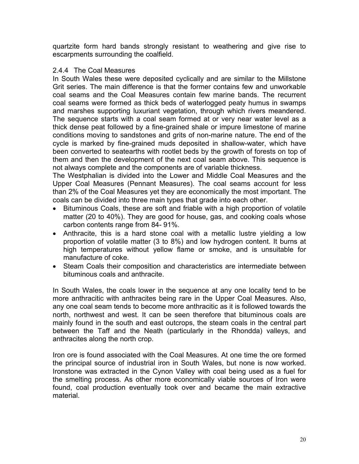quartzite form hard bands strongly resistant to weathering and give rise to escarpments surrounding the coalfield.

#### 2.4.4 The Coal Measures

In South Wales these were deposited cyclically and are similar to the Millstone Grit series. The main difference is that the former contains few and unworkable coal seams and the Coal Measures contain few marine bands. The recurrent coal seams were formed as thick beds of waterlogged peaty humus in swamps and marshes supporting luxuriant vegetation, through which rivers meandered. The sequence starts with a coal seam formed at or very near water level as a thick dense peat followed by a fine-grained shale or impure limestone of marine conditions moving to sandstones and grits of non-marine nature. The end of the cycle is marked by fine-grained muds deposited in shallow-water, which have been converted to seatearths with rootlet beds by the growth of forests on top of them and then the development of the next coal seam above. This sequence is not always complete and the components are of variable thickness.

The Westphalian is divided into the Lower and Middle Coal Measures and the Upper Coal Measures (Pennant Measures). The coal seams account for less than 2% of the Coal Measures yet they are economically the most important. The coals can be divided into three main types that grade into each other.

- Bituminous Coals, these are soft and friable with a high proportion of volatile matter (20 to 40%). They are good for house, gas, and cooking coals whose carbon contents range from 84- 91%.
- Anthracite, this is a hard stone coal with a metallic lustre yielding a low proportion of volatile matter (3 to 8%) and low hydrogen content. It burns at high temperatures without yellow flame or smoke, and is unsuitable for manufacture of coke.
- Steam Coals their composition and characteristics are intermediate between bituminous coals and anthracite.

In South Wales, the coals lower in the sequence at any one locality tend to be more anthracitic with anthracites being rare in the Upper Coal Measures. Also, any one coal seam tends to become more anthracitic as it is followed towards the north, northwest and west. It can be seen therefore that bituminous coals are mainly found in the south and east outcrops, the steam coals in the central part between the Taff and the Neath (particularly in the Rhondda) valleys, and anthracites along the north crop.

Iron ore is found associated with the Coal Measures. At one time the ore formed the principal source of industrial iron in South Wales, but none is now worked. Ironstone was extracted in the Cynon Valley with coal being used as a fuel for the smelting process. As other more economically viable sources of Iron were found, coal production eventually took over and became the main extractive material.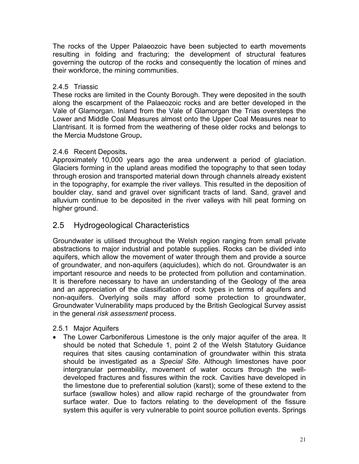The rocks of the Upper Palaeozoic have been subjected to earth movements resulting in folding and fracturing; the development of structural features governing the outcrop of the rocks and consequently the location of mines and their workforce, the mining communities.

#### 2.4.5 Triassic

These rocks are limited in the County Borough. They were deposited in the south along the escarpment of the Palaeozoic rocks and are better developed in the Vale of Glamorgan. Inland from the Vale of Glamorgan the Trias oversteps the Lower and Middle Coal Measures almost onto the Upper Coal Measures near to Llantrisant. It is formed from the weathering of these older rocks and belongs to the Mercia Mudstone Group**.**

#### 2.4.6 Recent Deposits**.**

Approximately 10,000 years ago the area underwent a period of glaciation. Glaciers forming in the upland areas modified the topography to that seen today through erosion and transported material down through channels already existent in the topography, for example the river valleys. This resulted in the deposition of boulder clay, sand and gravel over significant tracts of land. Sand, gravel and alluvium continue to be deposited in the river valleys with hill peat forming on higher ground.

#### 2.5 Hydrogeological Characteristics

Groundwater is utilised throughout the Welsh region ranging from small private abstractions to major industrial and potable supplies. Rocks can be divided into aquifers, which allow the movement of water through them and provide a source of groundwater, and non-aquifers (aquicludes), which do not. Groundwater is an important resource and needs to be protected from pollution and contamination. It is therefore necessary to have an understanding of the Geology of the area and an appreciation of the classification of rock types in terms of aquifers and non-aquifers. Overlying soils may afford some protection to groundwater, Groundwater Vulnerability maps produced by the British Geological Survey assist in the general *risk assessment* process.

#### 2.5.1 Major Aquifers

• The Lower Carboniferous Limestone is the only major aquifer of the area. It should be noted that Schedule 1, point 2 of the Welsh Statutory Guidance requires that sites causing contamination of groundwater within this strata should be investigated as a *Special Site*. Although limestones have poor intergranular permeability, movement of water occurs through the welldeveloped fractures and fissures within the rock. Cavities have developed in the limestone due to preferential solution (karst); some of these extend to the surface (swallow holes) and allow rapid recharge of the groundwater from surface water. Due to factors relating to the development of the fissure system this aquifer is very vulnerable to point source pollution events. Springs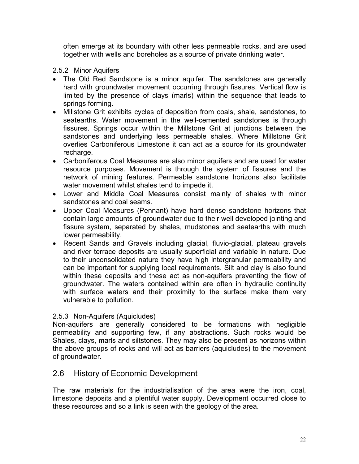often emerge at its boundary with other less permeable rocks, and are used together with wells and boreholes as a source of private drinking water.

#### 2.5.2 Minor Aquifers

- The Old Red Sandstone is a minor aquifer. The sandstones are generally hard with groundwater movement occurring through fissures. Vertical flow is limited by the presence of clays (marls) within the sequence that leads to springs forming.
- Millstone Grit exhibits cycles of deposition from coals, shale, sandstones, to seatearths. Water movement in the well-cemented sandstones is through fissures. Springs occur within the Millstone Grit at junctions between the sandstones and underlying less permeable shales. Where Millstone Grit overlies Carboniferous Limestone it can act as a source for its groundwater recharge.
- Carboniferous Coal Measures are also minor aquifers and are used for water resource purposes. Movement is through the system of fissures and the network of mining features. Permeable sandstone horizons also facilitate water movement whilst shales tend to impede it.
- Lower and Middle Coal Measures consist mainly of shales with minor sandstones and coal seams.
- Upper Coal Measures (Pennant) have hard dense sandstone horizons that contain large amounts of groundwater due to their well developed jointing and fissure system, separated by shales, mudstones and seatearths with much lower permeability.
- Recent Sands and Gravels including glacial, fluvio-glacial, plateau gravels and river terrace deposits are usually superficial and variable in nature. Due to their unconsolidated nature they have high intergranular permeability and can be important for supplying local requirements. Silt and clay is also found within these deposits and these act as non-aquifers preventing the flow of groundwater. The waters contained within are often in hydraulic continuity with surface waters and their proximity to the surface make them very vulnerable to pollution.

#### 2.5.3 Non-Aquifers (Aquicludes)

Non-aquifers are generally considered to be formations with negligible permeability and supporting few, if any abstractions. Such rocks would be Shales, clays, marls and siltstones. They may also be present as horizons within the above groups of rocks and will act as barriers (aquicludes) to the movement of groundwater.

#### 2.6 History of Economic Development

The raw materials for the industrialisation of the area were the iron, coal, limestone deposits and a plentiful water supply. Development occurred close to these resources and so a link is seen with the geology of the area.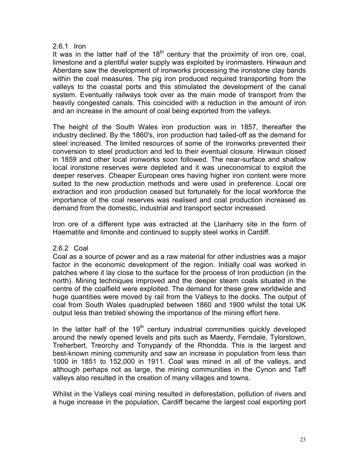#### 2.6.1 Iron

It was in the latter half of the  $18<sup>th</sup>$  century that the proximity of iron ore, coal, limestone and a plentiful water supply was exploited by ironmasters. Hirwaun and Aberdare saw the development of ironworks processing the ironstone clay bands within the coal measures. The pig iron produced required transporting from the valleys to the coastal ports and this stimulated the development of the canal system. Eventually railways took over as the main mode of transport from the heavily congested canals. This coincided with a reduction in the amount of iron and an increase in the amount of coal being exported from the valleys.

The height of the South Wales iron production was in 1857, thereafter the industry declined. By the 1860's, iron production had tailed-off as the demand for steel increased. The limited resources of some of the ironworks prevented their conversion to steel production and led to their eventual closure. Hirwaun closed in 1859 and other local ironworks soon followed. The near-surface and shallow local ironstone reserves were depleted and it was uneconomical to exploit the deeper reserves. Cheaper European ores having higher iron content were more suited to the new production methods and were used in preference. Local ore extraction and iron production ceased but fortunately for the local workforce the importance of the coal reserves was realised and coal production increased as demand from the domestic, industrial and transport sector increased.

Iron ore of a different type was extracted at the Llanharry site in the form of Haematite and limonite and continued to supply steel works in Cardiff.

#### 2.6.2 Coal

Coal as a source of power and as a raw material for other industries was a major factor in the economic development of the region. Initially coal was worked in patches where it lay close to the surface for the process of Iron production (in the north). Mining techniques improved and the deeper steam coals situated in the centre of the coalfield were exploited. The demand for these grew worldwide and huge quantities were moved by rail from the Valleys to the docks. The output of coal from South Wales quadrupled between 1860 and 1900 whilst the total UK output less than trebled showing the importance of the mining effort here.

In the latter half of the  $19<sup>th</sup>$  century industrial communities quickly developed around the newly opened levels and pits such as Maerdy, Ferndale, Tylorstown, Treherbert, Treorchy and Tonypandy of the Rhondda. This is the largest and best-known mining community and saw an increase in population from less than 1000 in 1851 to 152,000 in 1911. Coal was mined in all of the valleys, and although perhaps not as large, the mining communities in the Cynon and Taff valleys also resulted in the creation of many villages and towns.

Whilst in the Valleys coal mining resulted in deforestation, pollution of rivers and a huge increase in the population, Cardiff became the largest coal exporting port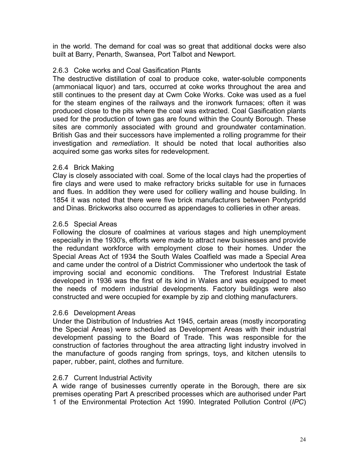in the world. The demand for coal was so great that additional docks were also built at Barry, Penarth, Swansea, Port Talbot and Newport.

#### 2.6.3 Coke works and Coal Gasification Plants

The destructive distillation of coal to produce coke, water-soluble components (ammoniacal liquor) and tars, occurred at coke works throughout the area and still continues to the present day at Cwm Coke Works. Coke was used as a fuel for the steam engines of the railways and the ironwork furnaces; often it was produced close to the pits where the coal was extracted. Coal Gasification plants used for the production of town gas are found within the County Borough. These sites are commonly associated with ground and groundwater contamination. British Gas and their successors have implemented a rolling programme for their investigation and *remediation*. It should be noted that local authorities also acquired some gas works sites for redevelopment.

#### 2.6.4 Brick Making

Clay is closely associated with coal. Some of the local clays had the properties of fire clays and were used to make refractory bricks suitable for use in furnaces and flues. In addition they were used for colliery walling and house building. In 1854 it was noted that there were five brick manufacturers between Pontypridd and Dinas. Brickworks also occurred as appendages to collieries in other areas.

#### 2.6.5 Special Areas

Following the closure of coalmines at various stages and high unemployment especially in the 1930's, efforts were made to attract new businesses and provide the redundant workforce with employment close to their homes. Under the Special Areas Act of 1934 the South Wales Coalfield was made a Special Area and came under the control of a District Commissioner who undertook the task of improving social and economic conditions. The Treforest Industrial Estate developed in 1936 was the first of its kind in Wales and was equipped to meet the needs of modern industrial developments. Factory buildings were also constructed and were occupied for example by zip and clothing manufacturers.

#### 2.6.6 Development Areas

Under the Distribution of Industries Act 1945, certain areas (mostly incorporating the Special Areas) were scheduled as Development Areas with their industrial development passing to the Board of Trade. This was responsible for the construction of factories throughout the area attracting light industry involved in the manufacture of goods ranging from springs, toys, and kitchen utensils to paper, rubber, paint, clothes and furniture.

#### 2.6.7 Current Industrial Activity

A wide range of businesses currently operate in the Borough, there are six premises operating Part A prescribed processes which are authorised under Part 1 of the Environmental Protection Act 1990. Integrated Pollution Control (*IPC*)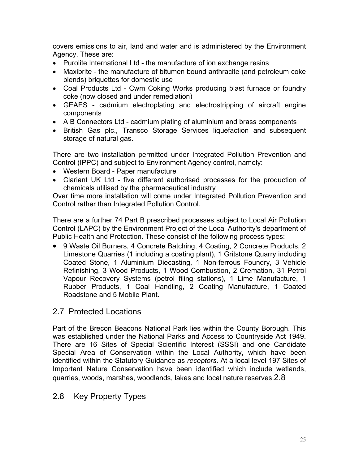covers emissions to air, land and water and is administered by the Environment Agency. These are:

- Purolite International Ltd the manufacture of ion exchange resins
- Maxibrite the manufacture of bitumen bound anthracite (and petroleum coke blends) briquettes for domestic use
- Coal Products Ltd Cwm Coking Works producing blast furnace or foundry coke (now closed and under remediation)
- GEAES cadmium electroplating and electrostripping of aircraft engine components
- A B Connectors Ltd cadmium plating of aluminium and brass components
- British Gas plc., Transco Storage Services liquefaction and subsequent storage of natural gas.

There are two installation permitted under Integrated Pollution Prevention and Control (IPPC) and subject to Environment Agency control, namely:

- Western Board Paper manufacture
- Clariant UK Ltd five different authorised processes for the production of chemicals utilised by the pharmaceutical industry

Over time more installation will come under Integrated Pollution Prevention and Control rather than Integrated Pollution Control.

There are a further 74 Part B prescribed processes subject to Local Air Pollution Control (LAPC) by the Environment Project of the Local Authority's department of Public Health and Protection. These consist of the following process types:

• 9 Waste Oil Burners, 4 Concrete Batching, 4 Coating, 2 Concrete Products, 2 Limestone Quarries (1 including a coating plant), 1 Gritstone Quarry including Coated Stone, 1 Aluminium Diecasting, 1 Non-ferrous Foundry, 3 Vehicle Refinishing, 3 Wood Products, 1 Wood Combustion, 2 Cremation, 31 Petrol Vapour Recovery Systems (petrol filing stations), 1 Lime Manufacture, 1 Rubber Products, 1 Coal Handling, 2 Coating Manufacture, 1 Coated Roadstone and 5 Mobile Plant.

#### 2.7 Protected Locations

Part of the Brecon Beacons National Park lies within the County Borough. This was established under the National Parks and Access to Countryside Act 1949. There are 16 Sites of Special Scientific Interest (SSSI) and one Candidate Special Area of Conservation within the Local Authority, which have been identified within the Statutory Guidance as *receptors*. At a local level 197 Sites of Important Nature Conservation have been identified which include wetlands, quarries, woods, marshes, woodlands, lakes and local nature reserves.2.8

#### 2.8 Key Property Types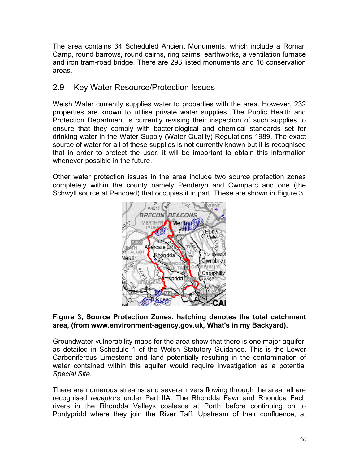The area contains 34 Scheduled Ancient Monuments, which include a Roman Camp, round barrows, round cairns, ring cairns, earthworks, a ventilation furnace and iron tram-road bridge. There are 293 listed monuments and 16 conservation areas.

#### 2.9 Key Water Resource/Protection Issues

Welsh Water currently supplies water to properties with the area. However, 232 properties are known to utilise private water supplies. The Public Health and Protection Department is currently revising their inspection of such supplies to ensure that they comply with bacteriological and chemical standards set for drinking water in the Water Supply (Water Quality) Regulations 1989. The exact source of water for all of these supplies is not currently known but it is recognised that in order to protect the user, it will be important to obtain this information whenever possible in the future.

Other water protection issues in the area include two source protection zones completely within the county namely Penderyn and Cwmparc and one (the Schwyll source at Pencoed) that occupies it in part. These are shown in Figure 3



#### **Figure 3, Source Protection Zones, hatching denotes the total catchment area, (from www.environment-agency.gov.uk, What's in my Backyard).**

Groundwater vulnerability maps for the area show that there is one major aquifer, as detailed in Schedule 1 of the Welsh Statutory Guidance. This is the Lower Carboniferous Limestone and land potentially resulting in the contamination of water contained within this aquifer would require investigation as a potential *Special Site*.

There are numerous streams and several rivers flowing through the area, all are recognised *receptors* under Part IIA. The Rhondda Fawr and Rhondda Fach rivers in the Rhondda Valleys coalesce at Porth before continuing on to Pontypridd where they join the River Taff. Upstream of their confluence, at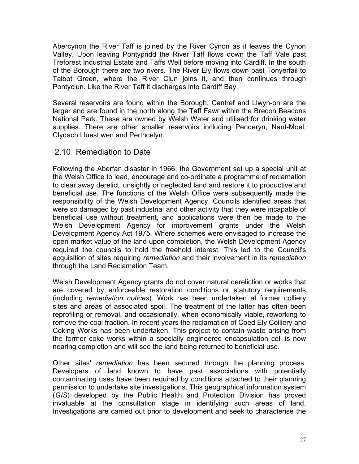Abercynon the River Taff is joined by the River Cynon as it leaves the Cynon Valley. Upon leaving Pontypridd the River Taff flows down the Taff Vale past Treforest Industrial Estate and Taffs Well before moving into Cardiff. In the south of the Borough there are two rivers. The River Ely flows down past Tonyerfail to Talbot Green, where the River Clun joins it, and then continues through Pontyclun. Like the River Taff it discharges into Cardiff Bay.

Several reservoirs are found within the Borough. Cantref and Llwyn-on are the larger and are found in the north along the Taff Fawr within the Brecon Beacons National Park. These are owned by Welsh Water and utilised for drinking water supplies. There are other smaller reservoirs including Penderyn, Nant-Moel, Clydach Lluest wen and Perthcelyn.

#### 2.10 Remediation to Date

Following the Aberfan disaster in 1966, the Government set up a special unit at the Welsh Office to lead, encourage and co-ordinate a programme of reclamation to clear away derelict, unsightly or neglected land and restore it to productive and beneficial use. The functions of the Welsh Office were subsequently made the responsibility of the Welsh Development Agency. Councils identified areas that were so damaged by past industrial and other activity that they were incapable of beneficial use without treatment, and applications were then be made to the Welsh Development Agency for improvement grants under the Welsh Development Agency Act 1975. Where schemes were envisaged to increase the open market value of the land upon completion, the Welsh Development Agency required the councils to hold the freehold interest. This led to the Council's acquisition of sites requiring *remediation* and their involvement in its *remediation* through the Land Reclamation Team.

Welsh Development Agency grants do not cover natural dereliction or works that are covered by enforceable restoration conditions or statutory requirements (including *remediation notices*). Work has been undertaken at former colliery sites and areas of associated spoil. The treatment of the latter has often been reprofiling or removal, and occasionally, when economically viable, reworking to remove the coal fraction. In recent years the reclamation of Coed Ely Colliery and Coking Works has been undertaken. This project to contain waste arising from the former coke works within a specially engineered encapsulation cell is now nearing completion and will see the land being returned to beneficial use.

Other sites' *remediation* has been secured through the planning process. Developers of land known to have past associations with potentially contaminating uses have been required by conditions attached to their planning permission to undertake site investigations. This geographical information system (*GIS*) developed by the Public Health and Protection Division has proved invaluable at the consultation stage in identifying such areas of land. Investigations are carried out prior to development and seek to characterise the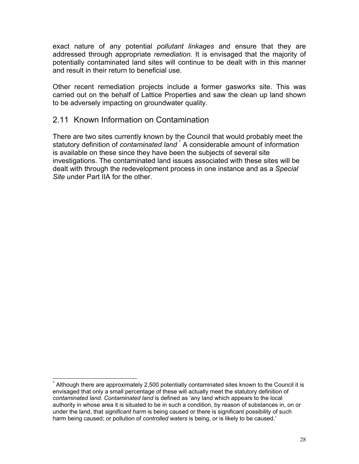exact nature of any potential *pollutant linkages* and ensure that they are addressed through appropriate *remediation*. It is envisaged that the majority of potentially contaminated land sites will continue to be dealt with in this manner and result in their return to beneficial use.

Other recent remediation projects include a former gasworks site. This was carried out on the behalf of Lattice Properties and saw the clean up land shown to be adversely impacting on groundwater quality.

#### 2.11 Known Information on Contamination

There are two sites currently known by the Council that would probably meet the statutorydefinition of *contaminated land*  $*$  A considerable amount of information is available on these since they have been the subjects of several site investigations. The contaminated land issues associated with these sites will be dealt with through the redevelopment process in one instance and as a *Special Site* under Part IIA for the other.

<span id="page-28-0"></span> <sup>\*</sup> Although there are approximately 2,500 potentially contaminated sites known to the Council it is envisaged that only a small percentage of these will actually meet the statutory definition of *contaminated land. Contaminated land* is defined as 'any land which appears to the local authority in whose area it is situated to be in such a condition, by reason of substances in, on or under the land, that *significant harm* is being caused or there is significant possibility of such harm being caused; or pollution of *controlled waters* is being, or is likely to be caused.'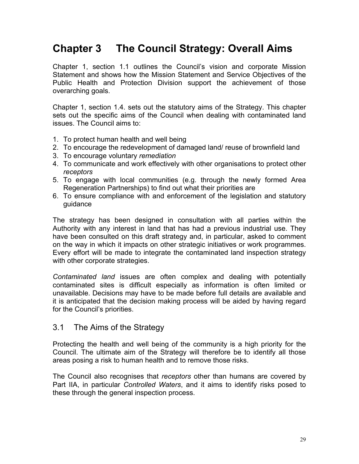# **Chapter 3 The Council Strategy: Overall Aims**

Chapter 1, section 1.1 outlines the Council's vision and corporate Mission Statement and shows how the Mission Statement and Service Objectives of the Public Health and Protection Division support the achievement of those overarching goals.

Chapter 1, section 1.4. sets out the statutory aims of the Strategy. This chapter sets out the specific aims of the Council when dealing with contaminated land issues. The Council aims to:

- 1. To protect human health and well being
- 2. To encourage the redevelopment of damaged land/ reuse of brownfield land
- 3. To encourage voluntary *remediation*
- 4. To communicate and work effectively with other organisations to protect other *receptors*
- 5. To engage with local communities (e.g. through the newly formed Area Regeneration Partnerships) to find out what their priorities are
- 6. To ensure compliance with and enforcement of the legislation and statutory guidance

The strategy has been designed in consultation with all parties within the Authority with any interest in land that has had a previous industrial use. They have been consulted on this draft strategy and, in particular, asked to comment on the way in which it impacts on other strategic initiatives or work programmes. Every effort will be made to integrate the contaminated land inspection strategy with other corporate strategies.

*Contaminated land* issues are often complex and dealing with potentially contaminated sites is difficult especially as information is often limited or unavailable. Decisions may have to be made before full details are available and it is anticipated that the decision making process will be aided by having regard for the Council's priorities.

#### 3.1 The Aims of the Strategy

Protecting the health and well being of the community is a high priority for the Council. The ultimate aim of the Strategy will therefore be to identify all those areas posing a risk to human health and to remove those risks.

The Council also recognises that *receptors* other than humans are covered by Part IIA, in particular *Controlled Waters*, and it aims to identify risks posed to these through the general inspection process.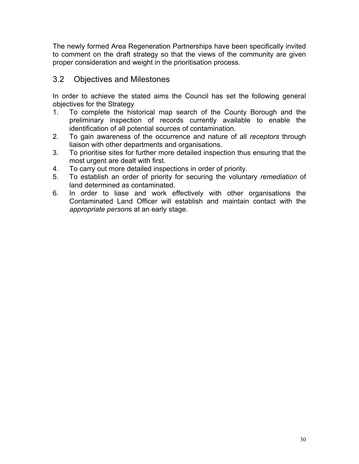The newly formed Area Regeneration Partnerships have been specifically invited to comment on the draft strategy so that the views of the community are given proper consideration and weight in the prioritisation process.

#### 3.2 Objectives and Milestones

In order to achieve the stated aims the Council has set the following general objectives for the Strategy

- 1. To complete the historical map search of the County Borough and the preliminary inspection of records currently available to enable the identification of all potential sources of contamination.
- 2. To gain awareness of the occurrence and nature of all *receptors* through liaison with other departments and organisations.
- 3. To prioritise sites for further more detailed inspection thus ensuring that the most urgent are dealt with first.
- 4. To carry out more detailed inspections in order of priority.
- 5. To establish an order of priority for securing the voluntary *remediation* of land determined as contaminated.
- 6. In order to liase and work effectively with other organisations the Contaminated Land Officer will establish and maintain contact with the *appropriate person*s at an early stage.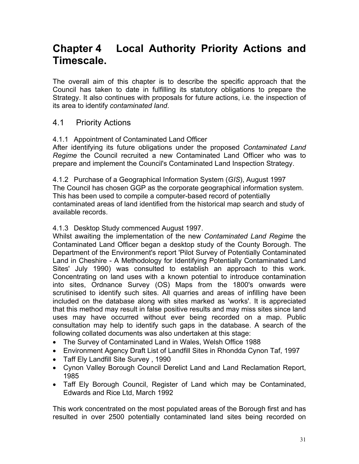# **Chapter 4 Local Authority Priority Actions and Timescale.**

The overall aim of this chapter is to describe the specific approach that the Council has taken to date in fulfilling its statutory obligations to prepare the Strategy. It also continues with proposals for future actions, i.e. the inspection of its area to identify *contaminated land*.

#### 4.1 Priority Actions

#### 4.1.1 Appointment of Contaminated Land Officer

After identifying its future obligations under the proposed *Contaminated Land Regime* the Council recruited a new Contaminated Land Officer who was to prepare and implement the Council's Contaminated Land Inspection Strategy.

4.1.2 Purchase of a Geographical Information System (*GIS*), August 1997 The Council has chosen GGP as the corporate geographical information system. This has been used to compile a computer-based record of potentially contaminated areas of land identified from the historical map search and study of available records.

#### 4.1.3 Desktop Study commenced August 1997.

Whilst awaiting the implementation of the new *Contaminated Land Regime* the Contaminated Land Officer began a desktop study of the County Borough. The Department of the Environment's report 'Pilot Survey of Potentially Contaminated Land in Cheshire - A Methodology for Identifying Potentially Contaminated Land Sites' July 1990) was consulted to establish an approach to this work. Concentrating on land uses with a known potential to introduce contamination into sites, Ordnance Survey (OS) Maps from the 1800's onwards were scrutinised to identify such sites. All quarries and areas of infilling have been included on the database along with sites marked as 'works'. It is appreciated that this method may result in false positive results and may miss sites since land uses may have occurred without ever being recorded on a map. Public consultation may help to identify such gaps in the database. A search of the following collated documents was also undertaken at this stage:

- The Survey of Contaminated Land in Wales, Welsh Office 1988
- Environment Agency Draft List of Landfill Sites in Rhondda Cynon Taf, 1997
- Taff Ely Landfill Site Survey , 1990
- Cynon Valley Borough Council Derelict Land and Land Reclamation Report, 1985
- Taff Ely Borough Council, Register of Land which may be Contaminated, Edwards and Rice Ltd, March 1992

This work concentrated on the most populated areas of the Borough first and has resulted in over 2500 potentially contaminated land sites being recorded on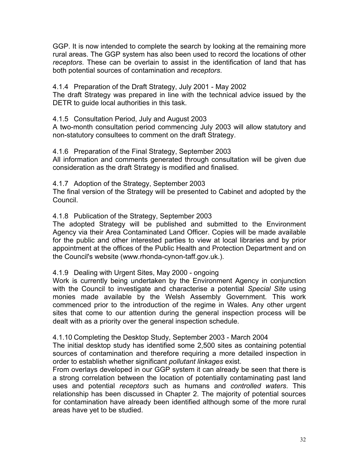GGP. It is now intended to complete the search by looking at the remaining more rural areas. The GGP system has also been used to record the locations of other *receptors*. These can be overlain to assist in the identification of land that has both potential sources of contamination and *receptors*.

4.1.4 Preparation of the Draft Strategy, July 2001 - May 2002

The draft Strategy was prepared in line with the technical advice issued by the DETR to guide local authorities in this task.

#### 4.1.5 Consultation Period, July and August 2003

A two-month consultation period commencing July 2003 will allow statutory and non-statutory consultees to comment on the draft Strategy.

#### 4.1.6 Preparation of the Final Strategy, September 2003

All information and comments generated through consultation will be given due consideration as the draft Strategy is modified and finalised.

#### 4.1.7 Adoption of the Strategy, September 2003

The final version of the Strategy will be presented to Cabinet and adopted by the Council.

#### 4.1.8 Publication of the Strategy, September 2003

The adopted Strategy will be published and submitted to the Environment Agency via their Area Contaminated Land Officer. Copies will be made available for the public and other interested parties to view at local libraries and by prior appointment at the offices of the Public Health and Protection Department and on the Council's website (www.rhonda-cynon-taff.gov.uk.).

#### 4.1.9 Dealing with Urgent Sites, May 2000 - ongoing

Work is currently being undertaken by the Environment Agency in conjunction with the Council to investigate and characterise a potential *Special Site* using monies made available by the Welsh Assembly Government. This work commenced prior to the introduction of the regime in Wales. Any other urgent sites that come to our attention during the general inspection process will be dealt with as a priority over the general inspection schedule.

#### 4.1.10 Completing the Desktop Study, September 2003 - March 2004

The initial desktop study has identified some 2,500 sites as containing potential sources of contamination and therefore requiring a more detailed inspection in order to establish whether significant *pollutant linkages* exist.

From overlays developed in our GGP system it can already be seen that there is a strong correlation between the location of potentially contaminating past land uses and potential *receptors* such as humans and *controlled waters*. This relationship has been discussed in Chapter 2. The majority of potential sources for contamination have already been identified although some of the more rural areas have yet to be studied.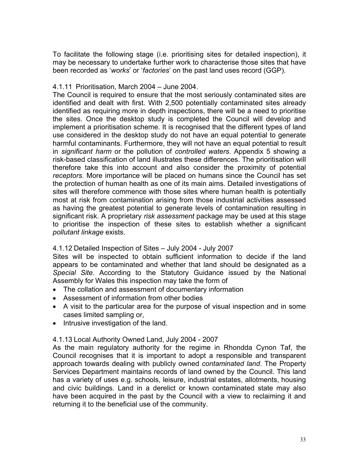To facilitate the following stage (i.e. prioritising sites for detailed inspection), it may be necessary to undertake further work to characterise those sites that have been recorded as '*works*' or '*factories*' on the past land uses record (GGP).

#### 4.1.11 Prioritisation, March 2004 – June 2004.

The Council is required to ensure that the most seriously contaminated sites are identified and dealt with first. With 2,500 potentially contaminated sites already identified as requiring more in depth inspections, there will be a need to prioritise the sites. Once the desktop study is completed the Council will develop and implement a prioritisation scheme. It is recognised that the different types of land use considered in the desktop study do not have an equal potential to generate harmful contaminants. Furthermore, they will not have an equal potential to result in *significant harm* or the pollution of *controlled waters*. Appendix 5 showing a risk-based classification of land illustrates these differences. The prioritisation will therefore take this into account and also consider the proximity of potential *receptors*. More importance will be placed on humans since the Council has set the protection of human health as one of its main aims. Detailed investigations of sites will therefore commence with those sites where human health is potentially most at risk from contamination arising from those industrial activities assessed as having the greatest potential to generate levels of contamination resulting in significant risk. A proprietary *risk assessment* package may be used at this stage to prioritise the inspection of these sites to establish whether a significant *pollutant linkage* exists.

#### 4.1.12 Detailed Inspection of Sites – July 2004 - July 2007

Sites will be inspected to obtain sufficient information to decide if the land appears to be contaminated and whether that land should be designated as a *Special Site*. According to the Statutory Guidance issued by the National Assembly for Wales this inspection may take the form of

- The collation and assessment of documentary information
- Assessment of information from other bodies
- A visit to the particular area for the purpose of visual inspection and in some cases limited sampling or,
- Intrusive investigation of the land.

#### 4.1.13 Local Authority Owned Land, July 2004 - 2007

As the main regulatory authority for the regime in Rhondda Cynon Taf, the Council recognises that it is important to adopt a responsible and transparent approach towards dealing with publicly owned *contaminated land*. The Property Services Department maintains records of land owned by the Council. This land has a variety of uses e.g. schools, leisure, industrial estates, allotments, housing and civic buildings. Land in a derelict or known contaminated state may also have been acquired in the past by the Council with a view to reclaiming it and returning it to the beneficial use of the community.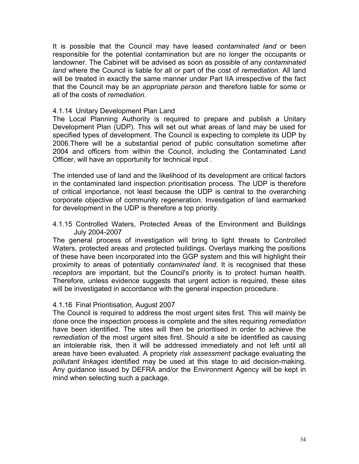It is possible that the Council may have leased *contaminated land* or been responsible for the potential contamination but are no longer the occupants or landowner. The Cabinet will be advised as soon as possible of any *contaminated land* where the Council is liable for all or part of the cost of *remediation.* All land will be treated in exactly the same manner under Part IIA irrespective of the fact that the Council may be an *appropriate person* and therefore liable for some or all of the costs of *remediation*.

#### 4.1.14 Unitary Development Plan Land

The Local Planning Authority is required to prepare and publish a Unitary Development Plan (UDP). This will set out what areas of land may be used for specified types of development. The Council is expecting to complete its UDP by 2006.There will be a substantial period of public consultation sometime after 2004 and officers from within the Council, including the Contaminated Land Officer, will have an opportunity for technical input .

The intended use of land and the likelihood of its development are critical factors in the contaminated land inspection prioritisation process. The UDP is therefore of critical importance, not least because the UDP is central to the overarching corporate objective of community regeneration. Investigation of land earmarked for development in the UDP is therefore a top priority.

4.1.15 Controlled Waters, Protected Areas of the Environment and Buildings July 2004-2007

The general process of investigation will bring to light threats to Controlled Waters, protected areas and protected buildings. Overlays marking the positions of these have been incorporated into the GGP system and this will highlight their proximity to areas of potentially *contaminated land*. It is recognised that these *receptors* are important, but the Council's priority is to protect human health. Therefore, unless evidence suggests that urgent action is required, these sites will be investigated in accordance with the general inspection procedure.

#### 4.1.16 Final Prioritisation, August 2007

The Council is required to address the most urgent sites first. This will mainly be done once the inspection process is complete and the sites requiring *remediation* have been identified. The sites will then be prioritised in order to achieve the *remediation* of the most urgent sites first. Should a site be identified as causing an intolerable risk, then it will be addressed immediately and not left until all areas have been evaluated. A propriety *risk assessment* package evaluating the *pollutant linkages* identified may be used at this stage to aid decision-making. Any guidance issued by DEFRA and/or the Environment Agency will be kept in mind when selecting such a package.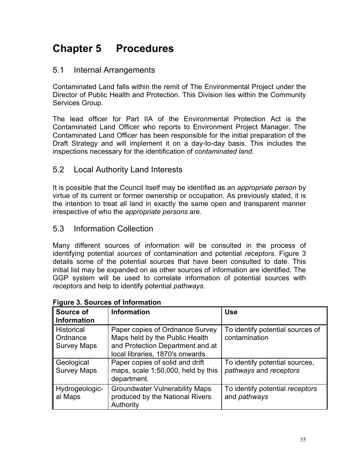# **Chapter 5 Procedures**

#### 5.1 Internal Arrangements

Contaminated Land falls within the remit of The Environmental Project under the Director of Public Health and Protection. This Division lies within the Community Services Group.

The lead officer for Part IIA of the Environmental Protection Act is the Contaminated Land Officer who reports to Environment Project Manager. The Contaminated Land Officer has been responsible for the initial preparation of the Draft Strategy and will implement it on a day-to-day basis. This includes the inspections necessary for the identification of *contaminated land*.

#### 5.2 Local Authority Land Interests

It is possible that the Council itself may be identified as an *appropriate person* by virtue of its current or former ownership or occupation. As previously stated, it is the intention to treat all land in exactly the same open and transparent manner irrespective of who the *appropriate persons* are.

#### 5.3 Information Collection

Many different sources of information will be consulted in the process of identifying potential *sources* of contamination and potential *receptors*. Figure 3 details some of the potential sources that have been consulted to date. This initial list may be expanded on as other sources of information are identified. The GGP system will be used to correlate information of potential sources with *receptors* and help to identify potential *pathways*.

| Source of                        | <b>Information</b>                                                                    | <b>Use</b>                                               |
|----------------------------------|---------------------------------------------------------------------------------------|----------------------------------------------------------|
| Information                      |                                                                                       |                                                          |
| <b>Historical</b><br>Ordnance    | Paper copies of Ordnance Survey<br>Maps held by the Public Health                     | To identify potential sources of<br>contamination        |
| <b>Survey Maps</b>               | and Protection Department and at<br>local libraries, 1870's onwards.                  |                                                          |
| Geological<br><b>Survey Maps</b> | Paper copies of solid and drift<br>maps, scale 1:50,000, held by this<br>department.  | To identify potential sources,<br>pathways and receptors |
| Hydrogeologic-<br>al Maps        | <b>Groundwater Vulnerability Maps</b><br>produced by the National Rivers<br>Authority | To identify potential receptors<br>and <i>pathways</i>   |

#### **Figure 3. Sources of Information**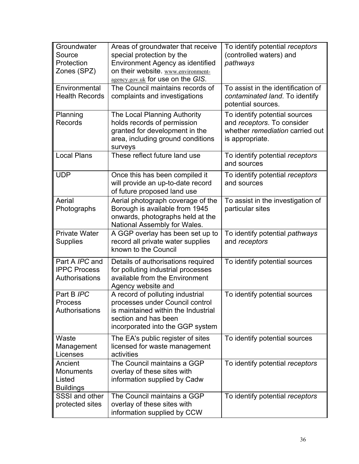| Groundwater<br>Source<br>Protection<br>Zones (SPZ)      | Areas of groundwater that receive<br>special protection by the<br>Environment Agency as identified<br>on their website. www.environment-<br>agency.gov.uk for use on the GIS. | To identify potential receptors<br>(controlled waters) and<br>pathways                                            |
|---------------------------------------------------------|-------------------------------------------------------------------------------------------------------------------------------------------------------------------------------|-------------------------------------------------------------------------------------------------------------------|
| Environmental<br><b>Health Records</b>                  | The Council maintains records of<br>complaints and investigations                                                                                                             | To assist in the identification of<br>contaminated land. To identify<br>potential sources.                        |
| Planning<br><b>Records</b>                              | The Local Planning Authority<br>holds records of permission<br>granted for development in the<br>area, including ground conditions<br>surveys                                 | To identify potential sources<br>and receptors. To consider<br>whether remediation carried out<br>is appropriate. |
| <b>Local Plans</b>                                      | These reflect future land use                                                                                                                                                 | To identify potential receptors<br>and sources                                                                    |
| <b>UDP</b>                                              | Once this has been compiled it<br>will provide an up-to-date record<br>of future proposed land use                                                                            | To identify potential receptors<br>and sources                                                                    |
| Aerial<br>Photographs                                   | Aerial photograph coverage of the<br>Borough is available from 1945<br>onwards, photographs held at the<br>National Assembly for Wales.                                       | To assist in the investigation of<br>particular sites                                                             |
| <b>Private Water</b><br><b>Supplies</b>                 | A GGP overlay has been set up to<br>record all private water supplies<br>known to the Council                                                                                 | To identify potential pathways<br>and receptors                                                                   |
| Part A IPC and<br><b>IPPC Process</b><br>Authorisations | Details of authorisations required<br>for polluting industrial processes<br>available from the Environment<br>Agency website and                                              | To identify potential sources                                                                                     |
| Part B IPC<br>Process<br>Authorisations                 | A record of polluting industrial<br>processes under Council control<br>is maintained within the Industrial<br>section and has been<br>incorporated into the GGP system        | To identify potential sources                                                                                     |
| Waste<br>Management<br>Licenses                         | The EA's public register of sites<br>licensed for waste management<br>activities                                                                                              | To identify potential sources                                                                                     |
| Ancient<br>Monuments<br>Listed<br><b>Buildings</b>      | The Council maintains a GGP<br>overlay of these sites with<br>information supplied by Cadw                                                                                    | To identify potential receptors                                                                                   |
| SSSI and other<br>protected sites                       | The Council maintains a GGP<br>overlay of these sites with<br>information supplied by CCW                                                                                     | To identify potential receptors                                                                                   |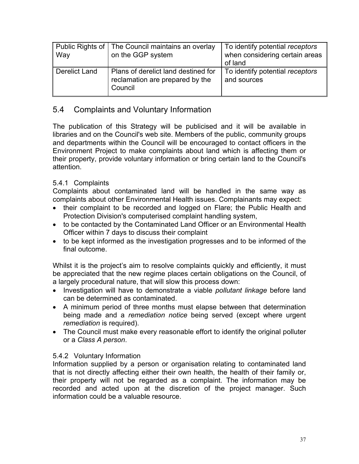| Way           | Public Rights of   The Council maintains an overlay<br>on the GGP system          | To identify potential receptors<br>when considering certain areas<br>of land |
|---------------|-----------------------------------------------------------------------------------|------------------------------------------------------------------------------|
| Derelict Land | Plans of derelict land destined for<br>reclamation are prepared by the<br>Council | To identify potential receptors<br>and sources                               |

## 5.4 Complaints and Voluntary Information

The publication of this Strategy will be publicised and it will be available in libraries and on the Council's web site. Members of the public, community groups and departments within the Council will be encouraged to contact officers in the Environment Project to make complaints about land which is affecting them or their property, provide voluntary information or bring certain land to the Council's attention.

#### 5.4.1 Complaints

Complaints about contaminated land will be handled in the same way as complaints about other Environmental Health issues. Complainants may expect:

- their complaint to be recorded and logged on Flare; the Public Health and Protection Division's computerised complaint handling system,
- to be contacted by the Contaminated Land Officer or an Environmental Health Officer within 7 days to discuss their complaint
- to be kept informed as the investigation progresses and to be informed of the final outcome.

Whilst it is the project's aim to resolve complaints quickly and efficiently, it must be appreciated that the new regime places certain obligations on the Council, of a largely procedural nature, that will slow this process down:

- Investigation will have to demonstrate a viable *pollutant linkage* before land can be determined as contaminated.
- A minimum period of three months must elapse between that determination being made and a *remediation notice* being served (except where urgent *remediation* is required).
- The Council must make every reasonable effort to identify the original polluter or a *Class A person*.

#### 5.4.2 Voluntary Information

Information supplied by a person or organisation relating to contaminated land that is not directly affecting either their own health, the health of their family or, their property will not be regarded as a complaint. The information may be recorded and acted upon at the discretion of the project manager. Such information could be a valuable resource.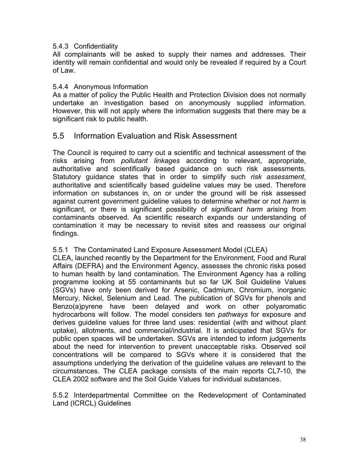#### 5.4.3 Confidentiality

All complainants will be asked to supply their names and addresses. Their identity will remain confidential and would only be revealed if required by a Court of Law.

#### 5.4.4 Anonymous Information

As a matter of policy the Public Health and Protection Division does not normally undertake an investigation based on anonymously supplied information. However, this will not apply where the information suggests that there may be a significant risk to public health.

#### 5.5 Information Evaluation and Risk Assessment

The Council is required to carry out a scientific and technical assessment of the risks arising from *pollutant linkages* according to relevant, appropriate, authoritative and scientifically based guidance on such risk assessments. Statutory guidance states that in order to simplify such *risk assessment*, authoritative and scientifically based guideline values may be used. Therefore information on substances in, on or under the ground will be risk assessed against current government guideline values to determine whether or not *harm* is significant, or there is significant possibility of *significant harm* arising from contaminants observed. As scientific research expands our understanding of contamination it may be necessary to revisit sites and reassess our original findings.

#### 5.5.1 The Contaminated Land Exposure Assessment Model (CLEA)

CLEA, launched recently by the Department for the Environment, Food and Rural Affairs (DEFRA) and the Environment Agency, assesses the chronic risks posed to human health by land contamination. The Environment Agency has a rolling programme looking at 55 contaminants but so far UK Soil Guideline Values (SGVs) have only been derived for Arsenic, Cadmium, Chromium, inorganic Mercury, Nickel, Selenium and Lead. The publication of SGVs for phenols and Benzo(a)pyrene have been delayed and work on other polyaromatic hydrocarbons will follow. The model considers ten *pathways* for exposure and derives guideline values for three land uses: residential (with and without plant uptake), allotments, and commercial/industrial. It is anticipated that SGVs for public open spaces will be undertaken. SGVs are intended to inform judgements about the need for intervention to prevent unacceptable risks. Observed soil concentrations will be compared to SGVs where it is considered that the assumptions underlying the derivation of the guideline values are relevant to the circumstances. The CLEA package consists of the main reports CL7-10, the CLEA 2002 software and the Soil Guide Values for individual substances.

5.5.2 Interdepartmental Committee on the Redevelopment of Contaminated Land (ICRCL) Guidelines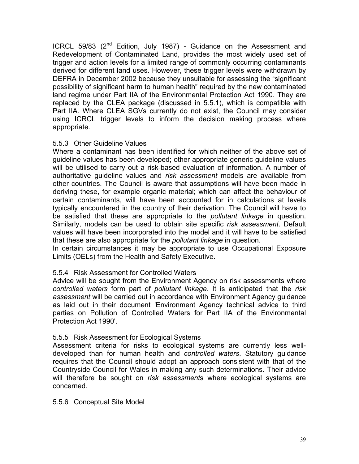ICRCL 59/83 (2<sup>nd</sup> Edition, July 1987) - Guidance on the Assessment and Redevelopment of Contaminated Land, provides the most widely used set of trigger and action levels for a limited range of commonly occurring contaminants derived for different land uses. However, these trigger levels were withdrawn by DEFRA in December 2002 because they unsuitable for assessing the "significant possibility of significant harm to human health" required by the new contaminated land regime under Part IIA of the Environmental Protection Act 1990. They are replaced by the CLEA package (discussed in 5.5.1), which is compatible with Part IIA. Where CLEA SGVs currently do not exist, the Council may consider using ICRCL trigger levels to inform the decision making process where appropriate.

#### 5.5.3 Other Guideline Values

Where a contaminant has been identified for which neither of the above set of guideline values has been developed; other appropriate generic guideline values will be utilised to carry out a risk-based evaluation of information. A number of authoritative guideline values and *risk assessment* models are available from other countries. The Council is aware that assumptions will have been made in deriving these, for example organic material; which can affect the behaviour of certain contaminants, will have been accounted for in calculations at levels typically encountered in the country of their derivation. The Council will have to be satisfied that these are appropriate to the *pollutant linkage* in question. Similarly, models can be used to obtain site specific *risk assessment*. Default values will have been incorporated into the model and it will have to be satisfied that these are also appropriate for the *pollutant linkage* in question.

In certain circumstances it may be appropriate to use Occupational Exposure Limits (OELs) from the Health and Safety Executive.

#### 5.5.4 Risk Assessment for Controlled Waters

Advice will be sought from the Environment Agency on risk assessments where *controlled waters* form part of *pollutant linkage*. It is anticipated that the *risk assessment* will be carried out in accordance with Environment Agency guidance as laid out in their document 'Environment Agency technical advice to third parties on Pollution of Controlled Waters for Part IIA of the Environmental Protection Act 1990'.

#### 5.5.5 Risk Assessment for Ecological Systems

Assessment criteria for risks to ecological systems are currently less welldeveloped than for human health and *controlled waters*. Statutory guidance requires that the Council should adopt an approach consistent with that of the Countryside Council for Wales in making any such determinations. Their advice will therefore be sought on *risk assessment*s where ecological systems are concerned.

#### 5.5.6 Conceptual Site Model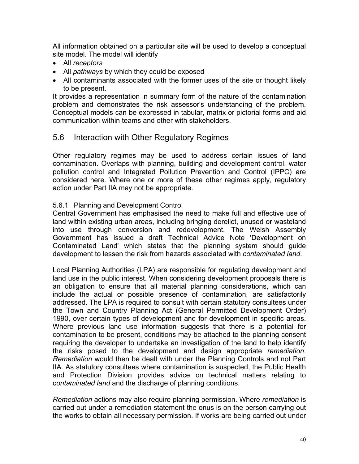All information obtained on a particular site will be used to develop a conceptual site model. The model will identify

- All *receptors*
- All *pathways* by which they could be exposed
- All contaminants associated with the former uses of the site or thought likely to be present.

It provides a representation in summary form of the nature of the contamination problem and demonstrates the risk assessor's understanding of the problem. Conceptual models can be expressed in tabular, matrix or pictorial forms and aid communication within teams and other with stakeholders.

## 5.6 Interaction with Other Regulatory Regimes

Other regulatory regimes may be used to address certain issues of land contamination. Overlaps with planning, building and development control, water pollution control and Integrated Pollution Prevention and Control (IPPC) are considered here. Where one or more of these other regimes apply, regulatory action under Part IIA may not be appropriate.

#### 5.6.1 Planning and Development Control

Central Government has emphasised the need to make full and effective use of land within existing urban areas, including bringing derelict, unused or wasteland into use through conversion and redevelopment. The Welsh Assembly Government has issued a draft Technical Advice Note 'Development on Contaminated Land' which states that the planning system should guide development to lessen the risk from hazards associated with *contaminated land*.

Local Planning Authorities (LPA) are responsible for regulating development and land use in the public interest. When considering development proposals there is an obligation to ensure that all material planning considerations, which can include the actual or possible presence of contamination, are satisfactorily addressed. The LPA is required to consult with certain statutory consultees under the Town and Country Planning Act (General Permitted Development Order) 1990, over certain types of development and for development in specific areas. Where previous land use information suggests that there is a potential for contamination to be present, conditions may be attached to the planning consent requiring the developer to undertake an investigation of the land to help identify the risks posed to the development and design appropriate *remediation*. *Remediation* would then be dealt with under the Planning Controls and not Part IIA. As statutory consultees where contamination is suspected, the Public Health and Protection Division provides advice on technical matters relating to c*ontaminated land* and the discharge of planning conditions.

*Remediation* actions may also require planning permission. Where *remediation* is carried out under a remediation statement the onus is on the person carrying out the works to obtain all necessary permission. If works are being carried out under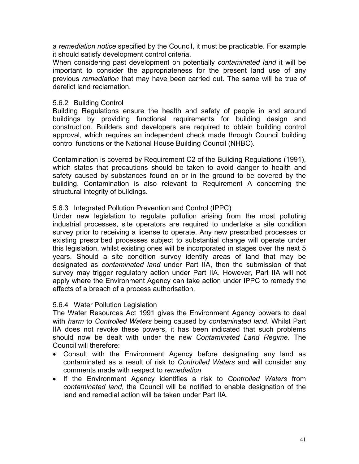a *remediation notice* specified by the Council, it must be practicable. For example it should satisfy development control criteria.

When considering past development on potentially *contaminated land* it will be important to consider the appropriateness for the present land use of any previous *remediation* that may have been carried out. The same will be true of derelict land reclamation.

#### 5.6.2 Building Control

Building Regulations ensure the health and safety of people in and around buildings by providing functional requirements for building design and construction. Builders and developers are required to obtain building control approval, which requires an independent check made through Council building control functions or the National House Building Council (NHBC).

Contamination is covered by Requirement C2 of the Building Regulations (1991), which states that precautions should be taken to avoid danger to health and safety caused by substances found on or in the ground to be covered by the building. Contamination is also relevant to Requirement A concerning the structural integrity of buildings.

#### 5.6.3 Integrated Pollution Prevention and Control (IPPC)

Under new legislation to regulate pollution arising from the most polluting industrial processes, site operators are required to undertake a site condition survey prior to receiving a license to operate. Any new prescribed processes or existing prescribed processes subject to substantial change will operate under this legislation, whilst existing ones will be incorporated in stages over the next 5 years. Should a site condition survey identify areas of land that may be designated as *contaminated land* under Part IIA, then the submission of that survey may trigger regulatory action under Part IIA. However, Part IIA will not apply where the Environment Agency can take action under IPPC to remedy the effects of a breach of a process authorisation.

#### 5.6.4 Water Pollution Legislation

The Water Resources Act 1991 gives the Environment Agency powers to deal with *harm* to *Controlled Waters* being caused by *contaminated land*. Whilst Part IIA does not revoke these powers, it has been indicated that such problems should now be dealt with under the new *Contaminated Land Regime*. The Council will therefore:

- Consult with the Environment Agency before designating any land as contaminated as a result of risk to *Controlled Waters* and will consider any comments made with respect to *remediation*
- If the Environment Agency identifies a risk to *Controlled Waters* from *contaminated land*, the Council will be notified to enable designation of the land and remedial action will be taken under Part IIA.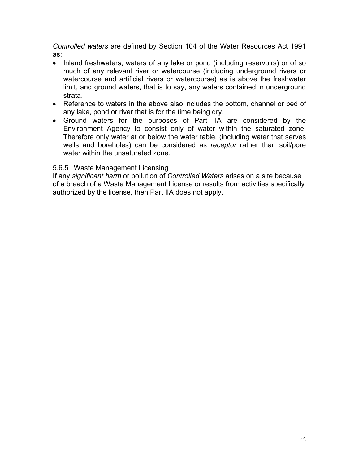*Controlled waters* are defined by Section 104 of the Water Resources Act 1991 as:

- Inland freshwaters, waters of any lake or pond (including reservoirs) or of so much of any relevant river or watercourse (including underground rivers or watercourse and artificial rivers or watercourse) as is above the freshwater limit, and ground waters, that is to say, any waters contained in underground strata.
- Reference to waters in the above also includes the bottom, channel or bed of any lake, pond or river that is for the time being dry.
- Ground waters for the purposes of Part IIA are considered by the Environment Agency to consist only of water within the saturated zone. Therefore only water at or below the water table, (including water that serves wells and boreholes) can be considered as *receptor* rather than soil/pore water within the unsaturated zone.

#### 5.6.5 Waste Management Licensing

If any *significant harm* or pollution of *Controlled Waters* arises on a site because of a breach of a Waste Management License or results from activities specifically authorized by the license, then Part IIA does not apply.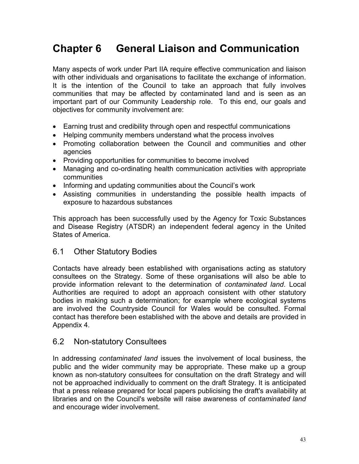# **Chapter 6 General Liaison and Communication**

Many aspects of work under Part IIA require effective communication and liaison with other individuals and organisations to facilitate the exchange of information. It is the intention of the Council to take an approach that fully involves communities that may be affected by contaminated land and is seen as an important part of our Community Leadership role. To this end, our goals and objectives for community involvement are:

- Earning trust and credibility through open and respectful communications
- Helping community members understand what the process involves
- Promoting collaboration between the Council and communities and other agencies
- Providing opportunities for communities to become involved
- Managing and co-ordinating health communication activities with appropriate communities
- Informing and updating communities about the Council's work
- Assisting communities in understanding the possible health impacts of exposure to hazardous substances

This approach has been successfully used by the Agency for Toxic Substances and Disease Registry (ATSDR) an independent federal agency in the United States of America.

## 6.1 Other Statutory Bodies

Contacts have already been established with organisations acting as statutory consultees on the Strategy. Some of these organisations will also be able to provide information relevant to the determination of *contaminated land*. Local Authorities are required to adopt an approach consistent with other statutory bodies in making such a determination; for example where ecological systems are involved the Countryside Council for Wales would be consulted. Formal contact has therefore been established with the above and details are provided in Appendix 4.

## 6.2 Non-statutory Consultees

In addressing *contaminated land* issues the involvement of local business, the public and the wider community may be appropriate. These make up a group known as non-statutory consultees for consultation on the draft Strategy and will not be approached individually to comment on the draft Strategy. It is anticipated that a press release prepared for local papers publicising the draft's availability at libraries and on the Council's website will raise awareness of *contaminated land* and encourage wider involvement.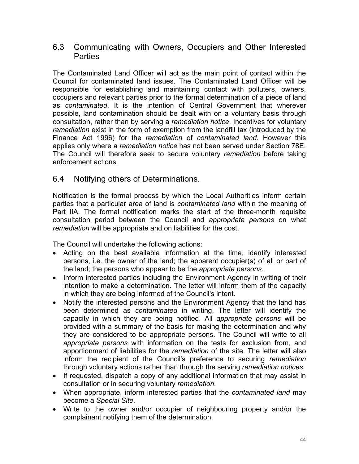## 6.3 Communicating with Owners, Occupiers and Other Interested **Parties**

The Contaminated Land Officer will act as the main point of contact within the Council for contaminated land issues. The Contaminated Land Officer will be responsible for establishing and maintaining contact with polluters, owners, occupiers and relevant parties prior to the formal determination of a piece of land as *contaminated*. It is the intention of Central Government that wherever possible, land contamination should be dealt with on a voluntary basis through consultation, rather than by serving a *remediation notice*. Incentives for voluntary *remediation* exist in the form of exemption from the landfill tax (introduced by the Finance Act 1996) for the *remediation* of *contaminated land*. However this applies only where a *remediation notice* has not been served under Section 78E. The Council will therefore seek to secure voluntary *remediation* before taking enforcement actions.

## 6.4 Notifying others of Determinations.

Notification is the formal process by which the Local Authorities inform certain parties that a particular area of land is *contaminated land* within the meaning of Part IIA. The formal notification marks the start of the three-month requisite consultation period between the Council and *appropriate persons* on what *remediation* will be appropriate and on liabilities for the cost.

The Council will undertake the following actions:

- Acting on the best available information at the time, identify interested persons, i.e. the owner of the land; the apparent occupier(s) of all or part of the land; the persons who appear to be the *appropriate persons*.
- Inform interested parties including the Environment Agency in writing of their intention to make a determination. The letter will inform them of the capacity in which they are being informed of the Council's intent.
- Notify the interested persons and the Environment Agency that the land has been determined as *contaminated* in writing. The letter will identify the capacity in which they are being notified. All *appropriate persons* will be provided with a summary of the basis for making the determination and why they are considered to be appropriate persons. The Council will write to all *appropriate persons* with information on the tests for exclusion from, and apportionment of liabilities for the *remediation* of the site. The letter will also inform the recipient of the Council's preference to securing *remediation* through voluntary actions rather than through the serving *remediation notices*.
- If requested, dispatch a copy of any additional information that may assist in consultation or in securing voluntary *remediation*.
- When appropriate, inform interested parties that the *contaminated land* may become a *Special Site*.
- Write to the owner and/or occupier of neighbouring property and/or the complainant notifying them of the determination.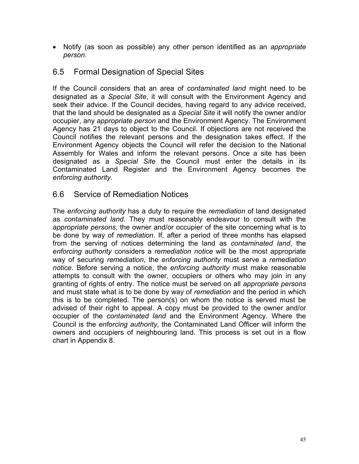• Notify (as soon as possible) any other person identified as an *appropriate person.*

## 6.5 Formal Designation of Special Sites

If the Council considers that an area of *contaminated land* might need to be designated as a *Special Site*, it will consult with the Environment Agency and seek their advice. If the Council decides, having regard to any advice received, that the land should be designated as a *Special Site* it will notify the owner and/or occupier, any *appropriate person* and the Environment Agency. The Environment Agency has 21 days to object to the Council. If objections are not received the Council notifies the relevant persons and the designation takes effect. If the Environment Agency objects the Council will refer the decision to the National Assembly for Wales and inform the relevant persons. Once a site has been designated as a *Special Site* the Council must enter the details in its Contaminated Land Register and the Environment Agency becomes the *enforcing authority*.

## 6.6 Service of Remediation Notices

The *enforcing authority* has a duty to require the *remediation* of land designated as *contaminated land*. They must reasonably endeavour to consult with the *appropriate persons*, the owner and/or occupier of the site concerning what is to be done by way of *remediation*. If, after a period of three months has elapsed from the serving of notices determining the land as *contaminated land*, the *enforcing authority* considers a *remediation notice* will be the most appropriate way of securing *remediation*, the *enforcing authority* must serve a *remediation notice*. Before serving a notice, the *enforcing authority* must make reasonable attempts to consult with the owner, occupiers or others who may join in any granting of rights of entry. The notice must be served on all *appropriate persons* and must state what is to be done by way of *remediation* and the period in which this is to be completed. The person(s) on whom the notice is served must be advised of their right to appeal. A copy must be provided to the owner and/or occupier of the *contaminated land* and the Environment Agency. Where the Council is the *enforcing authority*, the Contaminated Land Officer will inform the owners and occupiers of neighbouring land. This process is set out in a flow chart in Appendix 8.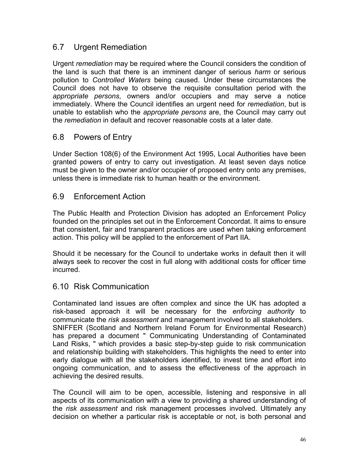## 6.7 Urgent Remediation

Urgent *remediation* may be required where the Council considers the condition of the land is such that there is an imminent danger of serious *harm* or serious pollution to *Controlled Waters* being caused. Under these circumstances the Council does not have to observe the requisite consultation period with the *appropriate persons*, owners and/or occupiers and may serve a notice immediately. Where the Council identifies an urgent need for *remediation*, but is unable to establish who the *appropriate persons* are, the Council may carry out the *remediation* in default and recover reasonable costs at a later date.

## 6.8 Powers of Entry

Under Section 108(6) of the Environment Act 1995, Local Authorities have been granted powers of entry to carry out investigation. At least seven days notice must be given to the owner and/or occupier of proposed entry onto any premises, unless there is immediate risk to human health or the environment.

## 6.9 Enforcement Action

The Public Health and Protection Division has adopted an Enforcement Policy founded on the principles set out in the Enforcement Concordat. It aims to ensure that consistent, fair and transparent practices are used when taking enforcement action. This policy will be applied to the enforcement of Part IIA.

Should it be necessary for the Council to undertake works in default then it will always seek to recover the cost in full along with additional costs for officer time incurred.

#### 6.10 Risk Communication

Contaminated land issues are often complex and since the UK has adopted a risk-based approach it will be necessary for the *enforcing authority* to communicate the *risk assessment* and management involved to all stakeholders. SNIFFER (Scotland and Northern Ireland Forum for Environmental Research) has prepared a document " Communicating Understanding of Contaminated Land Risks, " which provides a basic step-by-step guide to risk communication and relationship building with stakeholders. This highlights the need to enter into early dialogue with all the stakeholders identified, to invest time and effort into ongoing communication, and to assess the effectiveness of the approach in achieving the desired results.

The Council will aim to be open, accessible, listening and responsive in all aspects of its communication with a view to providing a shared understanding of the *risk assessment* and risk management processes involved. Ultimately any decision on whether a particular risk is acceptable or not, is both personal and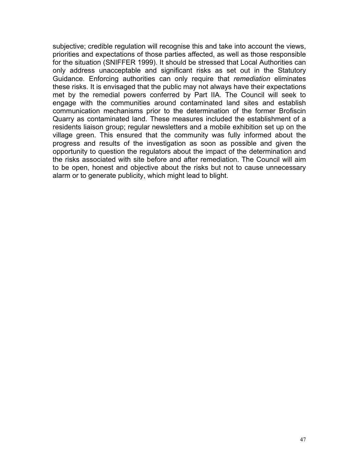subjective; credible regulation will recognise this and take into account the views, priorities and expectations of those parties affected, as well as those responsible for the situation (SNIFFER 1999). It should be stressed that Local Authorities can only address unacceptable and significant risks as set out in the Statutory Guidance. Enforcing authorities can only require that *remediation* eliminates these risks. It is envisaged that the public may not always have their expectations met by the remedial powers conferred by Part IIA. The Council will seek to engage with the communities around contaminated land sites and establish communication mechanisms prior to the determination of the former Brofiscin Quarry as contaminated land. These measures included the establishment of a residents liaison group; regular newsletters and a mobile exhibition set up on the village green. This ensured that the community was fully informed about the progress and results of the investigation as soon as possible and given the opportunity to question the regulators about the impact of the determination and the risks associated with site before and after remediation. The Council will aim to be open, honest and objective about the risks but not to cause unnecessary alarm or to generate publicity, which might lead to blight.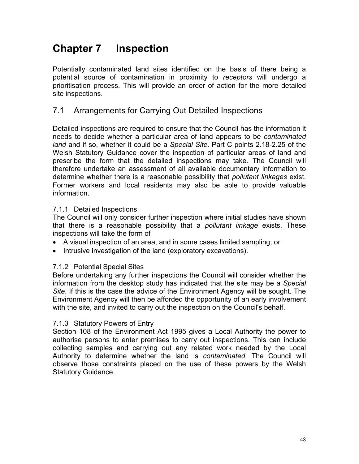# **Chapter 7 Inspection**

Potentially contaminated land sites identified on the basis of there being a potential source of contamination in proximity to *receptors* will undergo a prioritisation process. This will provide an order of action for the more detailed site inspections.

## 7.1 Arrangements for Carrying Out Detailed Inspections

Detailed inspections are required to ensure that the Council has the information it needs to decide whether a particular area of land appears to be *contaminated land* and if so, whether it could be a *Special Site*. Part C points 2.18-2.25 of the Welsh Statutory Guidance cover the inspection of particular areas of land and prescribe the form that the detailed inspections may take. The Council will therefore undertake an assessment of all available documentary information to determine whether there is a reasonable possibility that *pollutant linkages* exist. Former workers and local residents may also be able to provide valuable information.

#### 7.1.1 Detailed Inspections

The Council will only consider further inspection where initial studies have shown that there is a reasonable possibility that a *pollutant linkage* exists. These inspections will take the form of

- A visual inspection of an area, and in some cases limited sampling; or
- Intrusive investigation of the land (exploratory excavations).

#### 7.1.2 Potential Special Sites

Before undertaking any further inspections the Council will consider whether the information from the desktop study has indicated that the site may be a *Special Site*. If this is the case the advice of the Environment Agency will be sought. The Environment Agency will then be afforded the opportunity of an early involvement with the site, and invited to carry out the inspection on the Council's behalf.

#### 7.1.3 Statutory Powers of Entry

Section 108 of the Environment Act 1995 gives a Local Authority the power to authorise persons to enter premises to carry out inspections. This can include collecting samples and carrying out any related work needed by the Local Authority to determine whether the land is *contaminated*. The Council will observe those constraints placed on the use of these powers by the Welsh Statutory Guidance.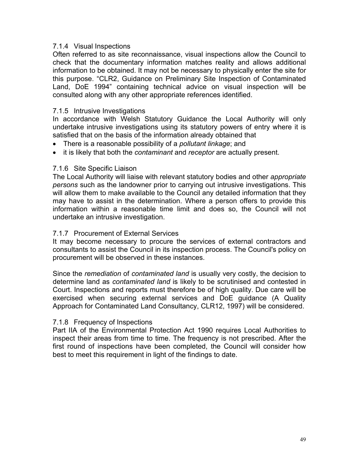#### 7.1.4 Visual Inspections

Often referred to as site reconnaissance, visual inspections allow the Council to check that the documentary information matches reality and allows additional information to be obtained. It may not be necessary to physically enter the site for this purpose. "CLR2, Guidance on Preliminary Site Inspection of Contaminated Land, DoE 1994" containing technical advice on visual inspection will be consulted along with any other appropriate references identified.

#### 7.1.5 Intrusive Investigations

In accordance with Welsh Statutory Guidance the Local Authority will only undertake intrusive investigations using its statutory powers of entry where it is satisfied that on the basis of the information already obtained that

- There is a reasonable possibility of a *pollutant linkage*; and
- it is likely that both the *contaminant* and *receptor* are actually present.

#### 7.1.6 Site Specific Liaison

The Local Authority will liaise with relevant statutory bodies and other *appropriate persons* such as the landowner prior to carrying out intrusive investigations. This will allow them to make available to the Council any detailed information that they may have to assist in the determination. Where a person offers to provide this information within a reasonable time limit and does so, the Council will not undertake an intrusive investigation.

#### 7.1.7 Procurement of External Services

It may become necessary to procure the services of external contractors and consultants to assist the Council in its inspection process. The Council's policy on procurement will be observed in these instances.

Since the *remediation* of *contaminated land* is usually very costly, the decision to determine land as *contaminated land* is likely to be scrutinised and contested in Court. Inspections and reports must therefore be of high quality. Due care will be exercised when securing external services and DoE guidance (A Quality Approach for Contaminated Land Consultancy, CLR12, 1997) will be considered.

#### 7.1.8 Frequency of Inspections

Part IIA of the Environmental Protection Act 1990 requires Local Authorities to inspect their areas from time to time. The frequency is not prescribed. After the first round of inspections have been completed, the Council will consider how best to meet this requirement in light of the findings to date.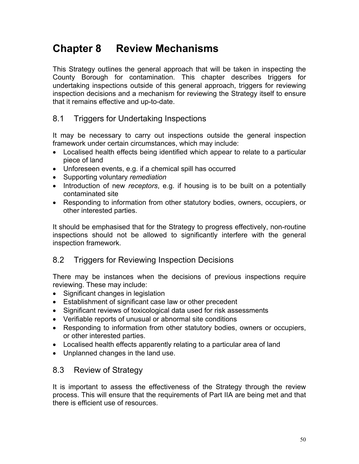# **Chapter 8 Review Mechanisms**

This Strategy outlines the general approach that will be taken in inspecting the County Borough for contamination. This chapter describes triggers for undertaking inspections outside of this general approach, triggers for reviewing inspection decisions and a mechanism for reviewing the Strategy itself to ensure that it remains effective and up-to-date.

## 8.1 Triggers for Undertaking Inspections

It may be necessary to carry out inspections outside the general inspection framework under certain circumstances, which may include:

- Localised health effects being identified which appear to relate to a particular piece of land
- Unforeseen events, e.g. if a chemical spill has occurred
- Supporting voluntary *remediation*
- Introduction of new *receptors*, e.g. if housing is to be built on a potentially contaminated site
- Responding to information from other statutory bodies, owners, occupiers, or other interested parties.

It should be emphasised that for the Strategy to progress effectively, non-routine inspections should not be allowed to significantly interfere with the general inspection framework.

## 8.2 Triggers for Reviewing Inspection Decisions

There may be instances when the decisions of previous inspections require reviewing. These may include:

- Significant changes in legislation
- Establishment of significant case law or other precedent
- Significant reviews of toxicological data used for risk assessments
- Verifiable reports of unusual or abnormal site conditions
- Responding to information from other statutory bodies, owners or occupiers, or other interested parties.
- Localised health effects apparently relating to a particular area of land
- Unplanned changes in the land use.

## 8.3 Review of Strategy

It is important to assess the effectiveness of the Strategy through the review process. This will ensure that the requirements of Part IIA are being met and that there is efficient use of resources.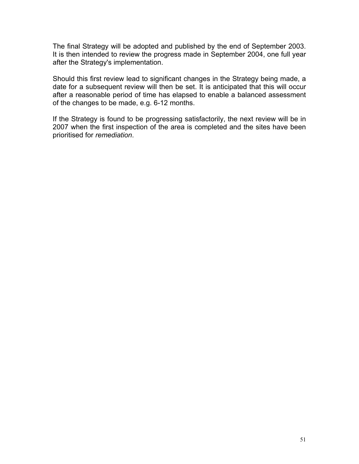The final Strategy will be adopted and published by the end of September 2003. It is then intended to review the progress made in September 2004, one full year after the Strategy's implementation.

Should this first review lead to significant changes in the Strategy being made, a date for a subsequent review will then be set. It is anticipated that this will occur after a reasonable period of time has elapsed to enable a balanced assessment of the changes to be made, e.g. 6-12 months.

If the Strategy is found to be progressing satisfactorily, the next review will be in 2007 when the first inspection of the area is completed and the sites have been prioritised for *remediation*.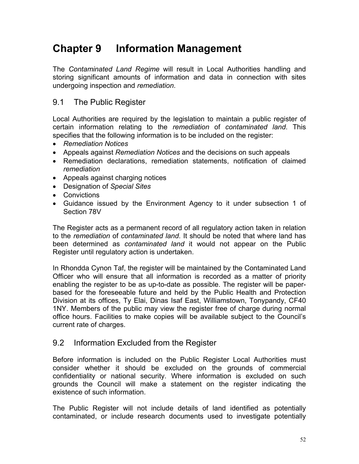# **Chapter 9 Information Management**

The *Contaminated Land Regime* will result in Local Authorities handling and storing significant amounts of information and data in connection with sites undergoing inspection and *remediation*.

## 9.1 The Public Register

Local Authorities are required by the legislation to maintain a public register of certain information relating to the *remediation* of *contaminated land*. This specifies that the following information is to be included on the register:

- *Remediation Notices*
- Appeals against *Remediation Notices* and the decisions on such appeals
- Remediation declarations, remediation statements, notification of claimed *remediation*
- Appeals against charging notices
- Designation of *Special Sites*
- Convictions
- Guidance issued by the Environment Agency to it under subsection 1 of Section 78V

The Register acts as a permanent record of all regulatory action taken in relation to the *remediation* of *contaminated land*. It should be noted that where land has been determined as *contaminated land* it would not appear on the Public Register until regulatory action is undertaken.

In Rhondda Cynon Taf, the register will be maintained by the Contaminated Land Officer who will ensure that all information is recorded as a matter of priority enabling the register to be as up-to-date as possible. The register will be paperbased for the foreseeable future and held by the Public Health and Protection Division at its offices, Ty Elai, Dinas Isaf East, Williamstown, Tonypandy, CF40 1NY. Members of the public may view the register free of charge during normal office hours. Facilities to make copies will be available subject to the Council's current rate of charges.

## 9.2 Information Excluded from the Register

Before information is included on the Public Register Local Authorities must consider whether it should be excluded on the grounds of commercial confidentiality or national security. Where information is excluded on such grounds the Council will make a statement on the register indicating the existence of such information.

The Public Register will not include details of land identified as potentially contaminated, or include research documents used to investigate potentially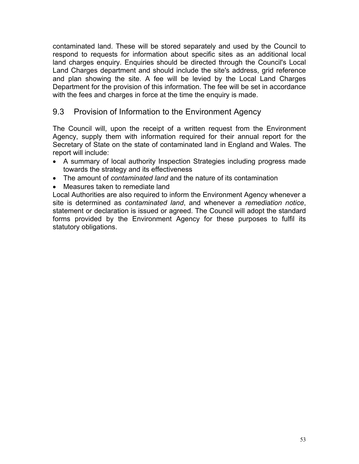contaminated land. These will be stored separately and used by the Council to respond to requests for information about specific sites as an additional local land charges enquiry. Enquiries should be directed through the Council's Local Land Charges department and should include the site's address, grid reference and plan showing the site. A fee will be levied by the Local Land Charges Department for the provision of this information. The fee will be set in accordance with the fees and charges in force at the time the enquiry is made.

## 9.3 Provision of Information to the Environment Agency

The Council will, upon the receipt of a written request from the Environment Agency, supply them with information required for their annual report for the Secretary of State on the state of contaminated land in England and Wales. The report will include:

- A summary of local authority Inspection Strategies including progress made towards the strategy and its effectiveness
- The amount of *contaminated land* and the nature of its contamination
- Measures taken to remediate land

Local Authorities are also required to inform the Environment Agency whenever a site is determined as *contaminated land*, and whenever a *remediation notice*, statement or declaration is issued or agreed. The Council will adopt the standard forms provided by the Environment Agency for these purposes to fulfil its statutory obligations.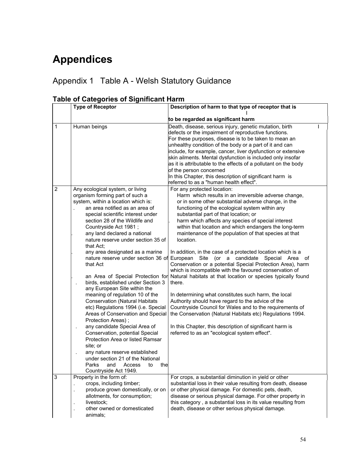# **Appendices**

## Appendix 1 Table A - Welsh Statutory Guidance

|                | iable of Categories of Significant Hami                                                                                                                                                                                                                                                                                                                                                                                                                                                                                                                                                                                                                                                                                                                                                                                                                                                                                           |                                                                                                                                                                                                                                                                                                                                                                                                                                                                                                                                                                                                                                                                                                                                                                                                                                                                                                                                                                                                                                                                                                                                           |  |
|----------------|-----------------------------------------------------------------------------------------------------------------------------------------------------------------------------------------------------------------------------------------------------------------------------------------------------------------------------------------------------------------------------------------------------------------------------------------------------------------------------------------------------------------------------------------------------------------------------------------------------------------------------------------------------------------------------------------------------------------------------------------------------------------------------------------------------------------------------------------------------------------------------------------------------------------------------------|-------------------------------------------------------------------------------------------------------------------------------------------------------------------------------------------------------------------------------------------------------------------------------------------------------------------------------------------------------------------------------------------------------------------------------------------------------------------------------------------------------------------------------------------------------------------------------------------------------------------------------------------------------------------------------------------------------------------------------------------------------------------------------------------------------------------------------------------------------------------------------------------------------------------------------------------------------------------------------------------------------------------------------------------------------------------------------------------------------------------------------------------|--|
|                | <b>Type of Receptor</b>                                                                                                                                                                                                                                                                                                                                                                                                                                                                                                                                                                                                                                                                                                                                                                                                                                                                                                           | Description of harm to that type of receptor that is                                                                                                                                                                                                                                                                                                                                                                                                                                                                                                                                                                                                                                                                                                                                                                                                                                                                                                                                                                                                                                                                                      |  |
|                |                                                                                                                                                                                                                                                                                                                                                                                                                                                                                                                                                                                                                                                                                                                                                                                                                                                                                                                                   | to be regarded as significant harm                                                                                                                                                                                                                                                                                                                                                                                                                                                                                                                                                                                                                                                                                                                                                                                                                                                                                                                                                                                                                                                                                                        |  |
| $\mathbf{1}$   | Human beings                                                                                                                                                                                                                                                                                                                                                                                                                                                                                                                                                                                                                                                                                                                                                                                                                                                                                                                      | Death, disease, serious injury, genetic mutation, birth<br>defects or the impairment of reproductive functions.<br>For these purposes, disease is to be taken to mean an<br>unhealthy condition of the body or a part of it and can<br>include, for example, cancer, liver dysfunction or extensive<br>skin ailments. Mental dysfunction is included only insofar<br>as it is attributable to the effects of a pollutant on the body<br>of the person concerned<br>In this Chapter, this description of significant harm is<br>referred to as a "human health effect".                                                                                                                                                                                                                                                                                                                                                                                                                                                                                                                                                                    |  |
| $\overline{2}$ | Any ecological system, or living<br>organism forming part of such a<br>system, within a location which is:<br>an area notified as an area of<br>special scientific interest under<br>section 28 of the Wildlife and<br>Countryside Act 1981;<br>any land declared a national<br>nature reserve under section 35 of<br>that Act:<br>any area designated as a marine<br>that Act<br>an Area of Special Protection for<br>birds, established under Section 3<br>any European Site within the<br>meaning of regulation 10 of the<br><b>Conservation (Natural Habitats</b><br>etc) Regulations 1994 (i.e. Special<br>Areas of Conservation and Special<br>Protection Areas);<br>any candidate Special Area of<br>Conservation, potential Special<br>Protection Area or listed Ramsar<br>site; or<br>any nature reserve established<br>under section 21 of the National<br>Parks<br>and<br>Access<br>the<br>to<br>Countryside Act 1949. | For any protected location:<br>Harm which results in an irreversible adverse change,<br>or in some other substantial adverse change, in the<br>functioning of the ecological system within any<br>substantial part of that location; or<br>harm which affects any species of special interest<br>within that location and which endangers the long-term<br>maintenance of the population of that species at that<br>location.<br>In addition, in the case of a protected location which is a<br>nature reserve under section 36 of European Site (or a candidate Special Area<br>0f<br>Conservation or a potential Special Protection Area), harm<br>which is incompatible with the favoured conservation of<br>Natural habitats at that location or species typically found<br>there.<br>In determining what constitutes such harm, the local<br>Authority should have regard to the advice of the<br>Countryside Council for Wales and to the requirements of<br>the Conservation (Natural Habitats etc) Regulations 1994.<br>In this Chapter, this description of significant harm is<br>referred to as an "ecological system effect". |  |
| 3              | Property in the form of:                                                                                                                                                                                                                                                                                                                                                                                                                                                                                                                                                                                                                                                                                                                                                                                                                                                                                                          | For crops, a substantial diminution in yield or other                                                                                                                                                                                                                                                                                                                                                                                                                                                                                                                                                                                                                                                                                                                                                                                                                                                                                                                                                                                                                                                                                     |  |
|                | crops, including timber;<br>produce grown domestically, or on<br>allotments, for consumption;<br>livestock;<br>other owned or domesticated<br>animals;                                                                                                                                                                                                                                                                                                                                                                                                                                                                                                                                                                                                                                                                                                                                                                            | substantial loss in their value resulting from death, disease<br>or other physical damage. For domestic pets, death,<br>disease or serious physical damage. For other property in<br>this category, a substantial loss in its value resulting from<br>death, disease or other serious physical damage.                                                                                                                                                                                                                                                                                                                                                                                                                                                                                                                                                                                                                                                                                                                                                                                                                                    |  |

## **Table of Categories of Significant Harm**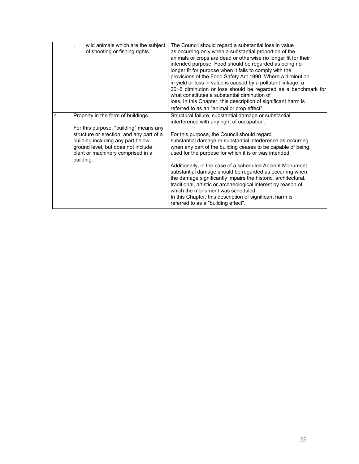|   | wild animals which are the subject<br>of shooting or fishing rights.                                                                                                                                                                                  | The Council should regard a substantial loss in value<br>as occurring only when a substantial proportion of the<br>animals or crops are dead or otherwise no longer fit for their<br>intended purpose. Food should be regarded as being no<br>longer fit for purpose when it fails to comply with the<br>provisions of the Food Safety Act 1990. Where a diminution<br>in yield or loss in value is caused by a pollutant linkage, a<br>20~6 diminution or loss should be regarded as a benchmark for<br>what constitutes a substantial diminution of<br>loss. In this Chapter, this description of significant harm is<br>referred to as an "animal or crop effect".                                                                        |
|---|-------------------------------------------------------------------------------------------------------------------------------------------------------------------------------------------------------------------------------------------------------|----------------------------------------------------------------------------------------------------------------------------------------------------------------------------------------------------------------------------------------------------------------------------------------------------------------------------------------------------------------------------------------------------------------------------------------------------------------------------------------------------------------------------------------------------------------------------------------------------------------------------------------------------------------------------------------------------------------------------------------------|
| 4 | Property in the form of buildings.<br>For this purpose, "building" means any<br>structure or erection, and any part of a<br>building including any part below<br>ground level, but does not include<br>plant or machinery comprised in a<br>building. | Structural failure, substantial damage or substantial<br>interference with any right of occupation.<br>For this purpose, the Council should regard<br>substantial damage or substantial interference as occurring<br>when any part of the building ceases to be capable of being<br>used for the purpose for which it is or was intended.<br>Additionally, in the case of a scheduled Ancient Monument,<br>substantial damage should be regarded as occurring when<br>the damage significantly impairs the historic, architectural,<br>traditional, artistic or archaeological interest by reason of<br>which the monument was scheduled.<br>In this Chapter, this description of significant harm is<br>referred to as a "building effect". |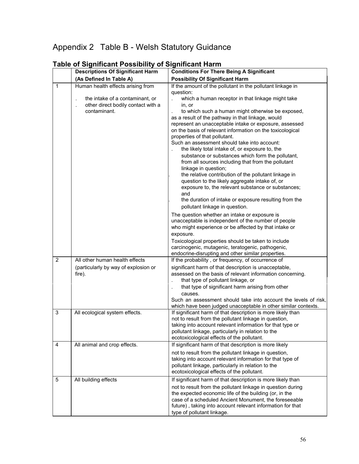## Appendix 2 Table B - Welsh Statutory Guidance

|                | <b>Descriptions Of Significant Harm</b>                                                                                    | <b>Conditions For There Being A Significant</b>                                                                                                                                                                                                                                                                                                                                                                                                                                                                                                                                                                                                                                                                                                                                                                                                                                                                                                                                                                                                                                                                                                                                                                                                                   |  |
|----------------|----------------------------------------------------------------------------------------------------------------------------|-------------------------------------------------------------------------------------------------------------------------------------------------------------------------------------------------------------------------------------------------------------------------------------------------------------------------------------------------------------------------------------------------------------------------------------------------------------------------------------------------------------------------------------------------------------------------------------------------------------------------------------------------------------------------------------------------------------------------------------------------------------------------------------------------------------------------------------------------------------------------------------------------------------------------------------------------------------------------------------------------------------------------------------------------------------------------------------------------------------------------------------------------------------------------------------------------------------------------------------------------------------------|--|
|                | (As Defined In Table A)                                                                                                    | <b>Possibility Of Significant Harm</b>                                                                                                                                                                                                                                                                                                                                                                                                                                                                                                                                                                                                                                                                                                                                                                                                                                                                                                                                                                                                                                                                                                                                                                                                                            |  |
| $\mathbf{1}$   | Human health effects arising from<br>the intake of a contaminant, or<br>other direct bodily contact with a<br>contaminant. | If the amount of the pollutant in the pollutant linkage in<br>question:<br>which a human receptor in that linkage might take<br>in, or<br>to which such a human might otherwise be exposed,<br>as a result of the pathway in that linkage, would<br>represent an unacceptable intake or exposure, assessed<br>on the basis of relevant information on the toxicological<br>properties of that pollutant.<br>Such an assessment should take into account:<br>the likely total intake of, or exposure to, the<br>substance or substances which form the pollutant,<br>from all sources including that from the pollutant<br>linkage in question;<br>the relative contribution of the pollutant linkage in<br>question to the likely aggregate intake of, or<br>exposure to, the relevant substance or substances;<br>and<br>the duration of intake or exposure resulting from the<br>pollutant linkage in question.<br>The question whether an intake or exposure is<br>unacceptable is independent of the number of people<br>who might experience or be affected by that intake or<br>exposure.<br>Toxicological properties should be taken to include<br>carcinogenic, mutagenic, teratogenic, pathogenic,<br>endocrine-disrupting and other similar properties. |  |
| $\overline{2}$ | All other human health effects<br>(particularly by way of explosion or<br>fire).                                           | If the probability, or frequency, of occurrence of<br>significant harm of that description is unacceptable,<br>assessed on the basis of relevant information concerning.<br>that type of pollutant linkage, or<br>that type of significant harm arising from other<br>causes.<br>Such an assessment should take into account the levels of risk,<br>which have been judged unacceptable in other similar contexts.                                                                                                                                                                                                                                                                                                                                                                                                                                                                                                                                                                                                                                                                                                                                                                                                                                                |  |
| $\mathsf 3$    | All ecological system effects.                                                                                             | If significant harm of that description is more likely than<br>not to result from the pollutant linkage in question,<br>taking into account relevant information for that type or<br>pollutant linkage, particularly in relation to the<br>ecotoxicological effects of the pollutant.                                                                                                                                                                                                                                                                                                                                                                                                                                                                                                                                                                                                                                                                                                                                                                                                                                                                                                                                                                             |  |
| 4              | All animal and crop effects.                                                                                               | If significant harm of that description is more likely<br>not to result from the pollutant linkage in question,<br>taking into account relevant information for that type of<br>pollutant linkage, particularly in relation to the<br>ecotoxicological effects of the pollutant.                                                                                                                                                                                                                                                                                                                                                                                                                                                                                                                                                                                                                                                                                                                                                                                                                                                                                                                                                                                  |  |
| 5              | All building effects                                                                                                       | If significant harm of that description is more likely than<br>not to result from the pollutant linkage in question during<br>the expected economic life of the building (or, in the<br>case of a scheduled Ancient Monument, the foreseeable<br>future), taking into account relevant information for that<br>type of pollutant linkage.                                                                                                                                                                                                                                                                                                                                                                                                                                                                                                                                                                                                                                                                                                                                                                                                                                                                                                                         |  |

## **Table of Significant Possibility of Significant Harm**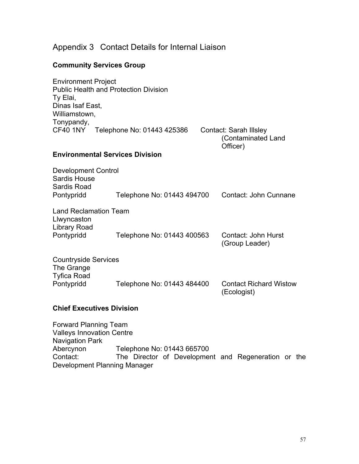|  | Appendix 3 Contact Details for Internal Liaison |
|--|-------------------------------------------------|
|--|-------------------------------------------------|

## **Community Services Group**

| <b>Environment Project</b><br><b>Public Health and Protection Division</b>                 |                                        |  |                                                          |  |  |
|--------------------------------------------------------------------------------------------|----------------------------------------|--|----------------------------------------------------------|--|--|
| Ty Elai,                                                                                   |                                        |  |                                                          |  |  |
| Dinas Isaf East,<br>Williamstown,                                                          |                                        |  |                                                          |  |  |
| Tonypandy,                                                                                 |                                        |  |                                                          |  |  |
| CF40 1NY                                                                                   | Telephone No: 01443 425386             |  | Contact: Sarah Illsley<br>(Contaminated Land<br>Officer) |  |  |
|                                                                                            | <b>Environmental Services Division</b> |  |                                                          |  |  |
| <b>Development Control</b>                                                                 |                                        |  |                                                          |  |  |
| <b>Sardis House</b><br><b>Sardis Road</b>                                                  |                                        |  |                                                          |  |  |
| Pontypridd                                                                                 | Telephone No: 01443 494700             |  | Contact: John Cunnane                                    |  |  |
| <b>Land Reclamation Team</b><br>Llwyncaston                                                |                                        |  |                                                          |  |  |
| <b>Library Road</b><br>Pontypridd                                                          | Telephone No: 01443 400563             |  | Contact: John Hurst<br>(Group Leader)                    |  |  |
| <b>Countryside Services</b>                                                                |                                        |  |                                                          |  |  |
| The Grange<br><b>Tyfica Road</b>                                                           |                                        |  |                                                          |  |  |
| Pontypridd                                                                                 | Telephone No: 01443 484400             |  | <b>Contact Richard Wistow</b><br>(Ecologist)             |  |  |
|                                                                                            | <b>Chief Executives Division</b>       |  |                                                          |  |  |
| <b>Forward Planning Team</b><br><b>Valleys Innovation Centre</b><br><b>Navigation Park</b> |                                        |  |                                                          |  |  |

Abercynon Telephone No: 01443 665700 Contact: The Director of Development and Regeneration or the Development Planning Manager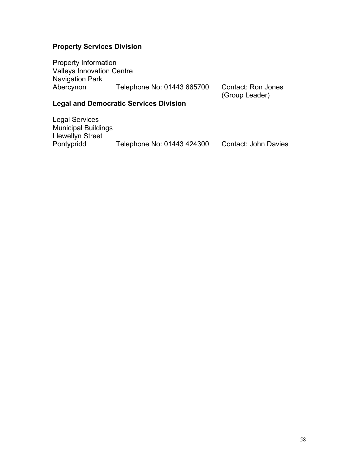#### **Property Services Division**

Property Information Valleys Innovation Centre Navigation Park Abercynon Telephone No: 01443 665700 Contact: Ron Jones

(Group Leader)

#### **Legal and Democratic Services Division**

Legal Services Municipal Buildings Llewellyn Street<br>Pontypridd Telephone No: 01443 424300 Contact: John Davies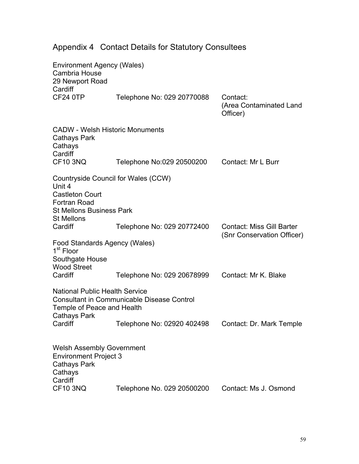| <b>Environment Agency (Wales)</b><br>Cambria House<br>29 Newport Road<br>Cardiff                                                                |                            |                                                 |  |  |
|-------------------------------------------------------------------------------------------------------------------------------------------------|----------------------------|-------------------------------------------------|--|--|
| <b>CF24 0TP</b>                                                                                                                                 | Telephone No: 029 20770088 | Contact:<br>(Area Contaminated Land<br>Officer) |  |  |
| <b>CADW - Welsh Historic Monuments</b><br><b>Cathays Park</b><br>Cathays<br>Cardiff                                                             |                            |                                                 |  |  |
| <b>CF10 3NQ</b>                                                                                                                                 | Telephone No:029 20500200  | Contact: Mr L Burr                              |  |  |
| Countryside Council for Wales (CCW)<br>Unit 4<br><b>Castleton Court</b><br><b>Fortran Road</b><br><b>St Mellons Business Park</b>               |                            |                                                 |  |  |
| <b>St Mellons</b><br>Cardiff                                                                                                                    | Telephone No: 029 20772400 | <b>Contact: Miss Gill Barter</b>                |  |  |
| Food Standards Agency (Wales)<br>1 <sup>st</sup> Floor<br>Southgate House<br><b>Wood Street</b>                                                 |                            | (Snr Conservation Officer)                      |  |  |
| Cardiff                                                                                                                                         | Telephone No: 029 20678999 | Contact: Mr K. Blake                            |  |  |
| <b>National Public Health Service</b><br><b>Consultant in Communicable Disease Control</b><br>Temple of Peace and Health<br><b>Cathays Park</b> |                            |                                                 |  |  |
| Cardiff                                                                                                                                         | Telephone No: 02920 402498 | Contact: Dr. Mark Temple                        |  |  |
| <b>Welsh Assembly Government</b><br><b>Environment Project 3</b><br><b>Cathays Park</b><br>Cathays<br>Cardiff                                   |                            |                                                 |  |  |
| <b>CF10 3NQ</b>                                                                                                                                 | Telephone No. 029 20500200 | Contact: Ms J. Osmond                           |  |  |

# Appendix 4 Contact Details for Statutory Consultees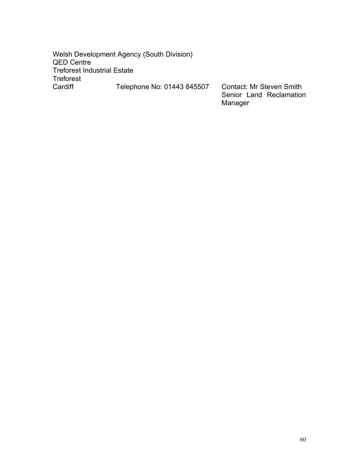Welsh Development Agency (South Division) QED Centre Treforest Industrial Estate Treforest Telephone No: 01443 845507 Contact: Mr Steven Smith

 Senior Land Reclamation Manager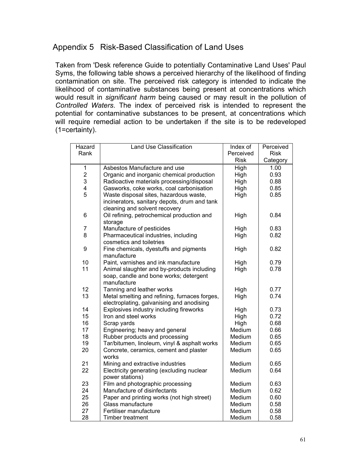## Appendix 5 Risk-Based Classification of Land Uses

Taken from 'Desk reference Guide to potentially Contaminative Land Uses' Paul Syms, the following table shows a perceived hierarchy of the likelihood of finding contamination on site. The perceived risk category is intended to indicate the likelihood of contaminative substances being present at concentrations which would result in *significant harm* being caused or may result in the pollution of *Controlled Waters*. The index of perceived risk is intended to represent the potential for contaminative substances to be present, at concentrations which will require remedial action to be undertaken if the site is to be redeveloped (1=certainty).

| Hazard                  | <b>Land Use Classification</b>                | Index of    | Perceived   |
|-------------------------|-----------------------------------------------|-------------|-------------|
| Rank                    |                                               | Perceived   | <b>Risk</b> |
|                         |                                               | <b>Risk</b> | Category    |
| $\mathbf 1$             | Asbestos Manufacture and use                  | High        | 1.00        |
| $\overline{\mathbf{c}}$ | Organic and inorganic chemical production     | High        | 0.93        |
| 3                       | Radioactive materials processing/disposal     | High        | 0.88        |
| 4                       | Gasworks, coke works, coal carbonisation      | High        | 0.85        |
| 5                       | Waste disposal sites, hazardous waste,        | High        | 0.85        |
|                         | incinerators, sanitary depots, drum and tank  |             |             |
|                         | cleaning and solvent recovery                 |             |             |
| 6                       | Oil refining, petrochemical production and    | High        | 0.84        |
|                         | storage                                       |             |             |
| $\overline{7}$          | Manufacture of pesticides                     | High        | 0.83        |
| 8                       | Pharmaceutical industries, including          | High        | 0.82        |
|                         | cosmetics and toiletries                      |             |             |
| 9                       | Fine chemicals, dyestuffs and pigments        | High        | 0.82        |
|                         | manufacture                                   |             |             |
| 10                      | Paint, varnishes and ink manufacture          | High        | 0.79        |
| 11                      | Animal slaughter and by-products including    | High        | 0.78        |
|                         | soap, candle and bone works; detergent        |             |             |
|                         | manufacture                                   |             |             |
| 12                      | Tanning and leather works                     | High        | 0.77        |
| 13                      | Metal smelting and refining, furnaces forges, | High        | 0.74        |
|                         | electroplating, galvanising and anodising     |             |             |
| 14                      | Explosives industry including fireworks       | High        | 0.73        |
| 15                      | Iron and steel works                          | High        | 0.72        |
| 16                      | Scrap yards                                   | High        | 0.68        |
| 17                      | Engineering; heavy and general                | Medium      | 0.66        |
| 18                      | Rubber products and processing                | Medium      | 0.65        |
| 19                      | Tar/bitumen, linoleum, vinyl & asphalt works  | Medium      | 0.65        |
| 20                      | Concrete, ceramics, cement and plaster        | Medium      | 0.65        |
|                         | works                                         |             |             |
| 21                      | Mining and extractive industries              | Medium      | 0.65        |
| 22                      | Electricity generating (excluding nuclear     | Medium      | 0.64        |
|                         | power stations)                               |             |             |
| 23                      | Film and photographic processing              | Medium      | 0.63        |
| 24                      | Manufacture of disinfectants                  | Medium      | 0.62        |
| 25                      | Paper and printing works (not high street)    | Medium      | 0.60        |
| 26                      | Glass manufacture                             | Medium      | 0.58        |
| 27                      | Fertiliser manufacture                        | Medium      | 0.58        |
| 28                      | <b>Timber treatment</b>                       | Medium      | 0.58        |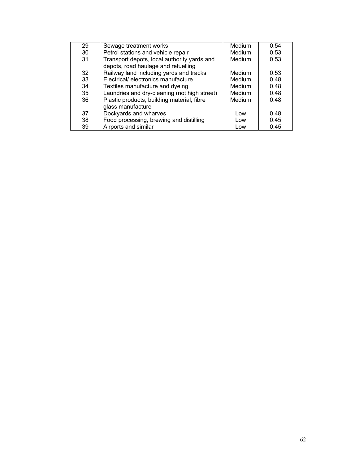| 29 | Sewage treatment works                                                             | Medium | 0.54 |
|----|------------------------------------------------------------------------------------|--------|------|
| 30 | Petrol stations and vehicle repair                                                 | Medium | 0.53 |
| 31 | Transport depots, local authority yards and<br>depots, road haulage and refuelling | Medium | 0.53 |
| 32 | Railway land including yards and tracks                                            | Medium | 0.53 |
| 33 | Electrical/ electronics manufacture                                                | Medium | 0.48 |
| 34 | Textiles manufacture and dyeing                                                    | Medium | 0.48 |
| 35 | Laundries and dry-cleaning (not high street)                                       | Medium | 0.48 |
| 36 | Plastic products, building material, fibre                                         | Medium | 0.48 |
|    | glass manufacture                                                                  |        |      |
| 37 | Dockyards and wharves                                                              | Low    | 0.48 |
| 38 | Food processing, brewing and distilling                                            | Low    | 0.45 |
| 39 | Airports and similar                                                               | Low    | 0.45 |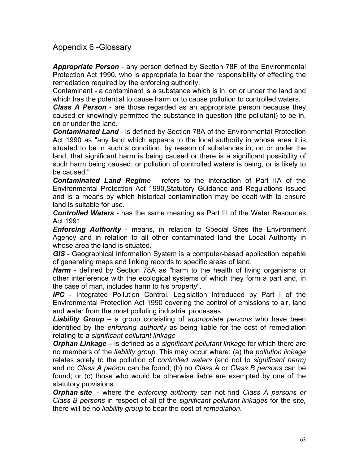## Appendix 6 -Glossary

*Appropriate Person* - any person defined by Section 78F of the Environmental Protection Act 1990, who is appropriate to bear the responsibility of effecting the remediation required by the enforcing authority.

Contaminant - a contaminant is a substance which is in, on or under the land and which has the potential to cause harm or to cause pollution to controlled waters.

*Class A Person* - are those regarded as an appropriate person because they caused or knowingly permitted the substance in question (the pollutant) to be in, on or under the land.

*Contaminated Land* - is defined by Section 78A of the Environmental Protection Act 1990 as "any land which appears to the local authority in whose area it is situated to be in such a condition, by reason of substances in, on or under the land, that significant harm is being caused or there is a significant possibility of such harm being caused; or pollution of controlled waters is being, or is likely to be caused."

*Contaminated Land Regime* - refers to the interaction of Part IIA of the Environmental Protection Act 1990,Statutory Guidance and Regulations issued and is a means by which historical contamination may be dealt with to ensure land is suitable for use.

*Controlled Waters* - has the same meaning as Part III of the Water Resources Act 1991

*Enforcing Authority* - means, in relation to Special Sites the Environment Agency and in relation to all other contaminated land the Local Authority in whose area the land is situated.

*GIS* - Geographical Information System is a computer-based application capable of generating maps and linking records to specific areas of land.

*Harm* - defined by Section 78A as "harm to the health of living organisms or other interference with the ecological systems of which they form a part and, in the case of man, includes harm to his property".

*IPC* - Integrated Pollution Control. Legislation introduced by Part I of the Environmental Protection Act 1990 covering the control of emissions to air, land and water from the most polluting industrial processes.

*Liability Group* – a group consisting of *appropriate persons* who have been identified by the *enforcing authority* as being liable for the cost of remediation relating to a *significant pollutant linkage* 

*Orphan Linkage –* is defined as a *significant pollutant linkage* for which there are no members of the *liability group.* This may occur where: (a) the *pollution linkage*  relates solely to the pollution of *controlled waters* (and not to *significant harm)* and no *Class A person* can be found; (b) no *Class A* or *Class B persons* can be found; or (c) those who would be otherwise liable are exempted by one of the statutory provisions.

*Orphan site*- where the *enforcing authority* can not find *Class A persons or Class B persons* in respect of all of the *significant pollutant linkages* for the site*,*  there will be no *liability group* to bear the cost of *remediation*.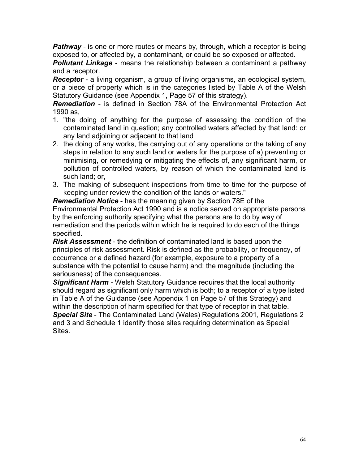**Pathway** - is one or more routes or means by, through, which a receptor is being exposed to, or affected by, a contaminant, or could be so exposed or affected.

*Pollutant Linkage* - means the relationship between a contaminant a pathway and a receptor.

*Receptor* - a living organism, a group of living organisms, an ecological system, or a piece of property which is in the categories listed by Table A of the Welsh Statutory Guidance (see Appendix 1, Page 57 of this strategy).

*Remediation* - is defined in Section 78A of the Environmental Protection Act 1990 as,

- 1. "the doing of anything for the purpose of assessing the condition of the contaminated land in question; any controlled waters affected by that land: or any land adjoining or adjacent to that land
- 2. the doing of any works, the carrying out of any operations or the taking of any steps in relation to any such land or waters for the purpose of a) preventing or minimising, or remedying or mitigating the effects of, any significant harm, or pollution of controlled waters, by reason of which the contaminated land is such land; or,
- 3. The making of subsequent inspections from time to time for the purpose of keeping under review the condition of the lands or waters."

*Remediation Notice* - has the meaning given by Section 78E of the Environmental Protection Act 1990 and is a notice served on appropriate persons by the enforcing authority specifying what the persons are to do by way of remediation and the periods within which he is required to do each of the things specified.

*Risk Assessment* - the definition of contaminated land is based upon the principles of risk assessment. Risk is defined as the probability, or frequency, of occurrence or a defined hazard (for example, exposure to a property of a substance with the potential to cause harm) and; the magnitude (including the seriousness) of the consequences.

*Significant Harm* - Welsh Statutory Guidance requires that the local authority should regard as significant only harm which is both; to a receptor of a type listed in Table A of the Guidance (see Appendix 1 on Page 57 of this Strategy) and within the description of harm specified for that type of receptor in that table. *Special Site* - The Contaminated Land (Wales) Regulations 2001, Regulations 2 and 3 and Schedule 1 identify those sites requiring determination as Special Sites.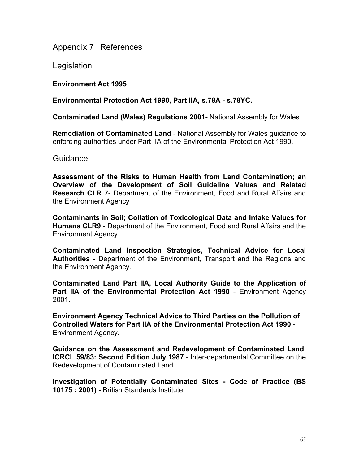Appendix 7 References

**Legislation** 

**Environment Act 1995** 

**Environmental Protection Act 1990, Part IIA, s.78A - s.78YC.** 

**Contaminated Land (Wales) Regulations 2001-** National Assembly for Wales

**Remediation of Contaminated Land** - National Assembly for Wales guidance to enforcing authorities under Part IIA of the Environmental Protection Act 1990.

**Guidance** 

**Assessment of the Risks to Human Health from Land Contamination; an Overview of the Development of Soil Guideline Values and Related Research CLR 7**- Department of the Environment, Food and Rural Affairs and the Environment Agency

**Contaminants in Soil; Collation of Toxicological Data and Intake Values for Humans CLR9** - Department of the Environment, Food and Rural Affairs and the Environment Agency

**Contaminated Land Inspection Strategies, Technical Advice for Local Authorities** - Department of the Environment, Transport and the Regions and the Environment Agency.

**Contaminated Land Part IIA, Local Authority Guide to the Application of Part IIA of the Environmental Protection Act 1990** - Environment Agency 2001.

**Environment Agency Technical Advice to Third Parties on the Pollution of Controlled Waters for Part IIA of the Environmental Protection Act 1990** - Environment Agency**.** 

**Guidance on the Assessment and Redevelopment of Contaminated Land**, **ICRCL 59/83: Second Edition July 1987** - Inter-departmental Committee on the Redevelopment of Contaminated Land.

**Investigation of Potentially Contaminated Sites - Code of Practice (BS 10175 : 2001)** - British Standards Institute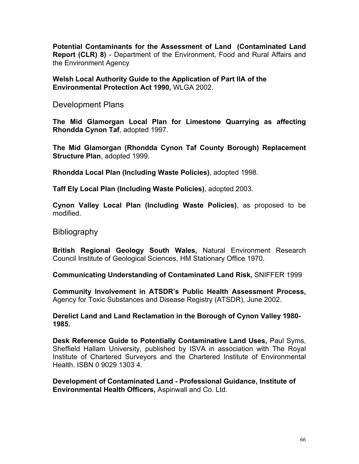**Potential Contaminants for the Assessment of Land (Contaminated Land Report (CLR) 8)** - Department of the Environment, Food and Rural Affairs and the Environment Agency

**Welsh Local Authority Guide to the Application of Part IIA of the Environmental Protection Act 1990,** WLGA 2002.

Development Plans

**The Mid Glamorgan Local Plan for Limestone Quarrying as affecting Rhondda Cynon Taf**, adopted 1997.

**The Mid Glamorgan (Rhondda Cynon Taf County Borough) Replacement Structure Plan**, adopted 1999.

**Rhondda Local Plan (Including Waste Policies)**, adopted 1998.

**Taff Ely Local Plan (Including Waste Policies)**, adopted 2003.

**Cynon Valley Local Plan (Including Waste Policies)**, as proposed to be modified.

**Bibliography** 

**British Regional Geology South Wales,** Natural Environment Research Council Institute of Geological Sciences, HM Stationary Office 1970.

**Communicating Understanding of Contaminated Land Risk,** SNIFFER 1999

**Community Involvement in ATSDR's Public Health Assessment Process,**  Agency for Toxic Substances and Disease Registry (ATSDR), June 2002.

**Derelict Land and Land Reclamation in the Borough of Cynon Valley 1980- 1985.** 

**Desk Reference Guide to Potentially Contaminative Land Uses,** Paul Syms, Sheffield Hallam University, published by ISVA in association with The Royal Institute of Chartered Surveyors and the Chartered Institute of Environmental Health. ISBN 0 9029 1303 4.

**Development of Contaminated Land - Professional Guidance, Institute of Environmental Health Officers,** Aspinwall and Co. Ltd.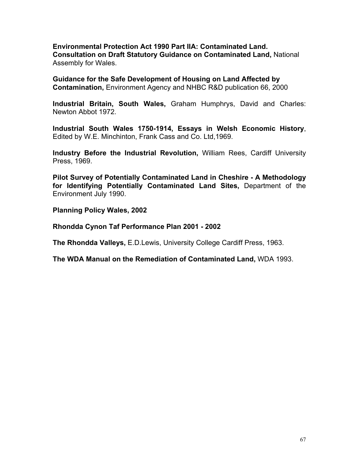**Environmental Protection Act 1990 Part IIA: Contaminated Land. Consultation on Draft Statutory Guidance on Contaminated Land,** National Assembly for Wales.

**Guidance for the Safe Development of Housing on Land Affected by Contamination,** Environment Agency and NHBC R&D publication 66, 2000

**Industrial Britain, South Wales,** Graham Humphrys, David and Charles: Newton Abbot 1972.

**Industrial South Wales 1750-1914, Essays in Welsh Economic History**, Edited by W.E. Minchinton, Frank Cass and Co. Ltd,1969.

**Industry Before the Industrial Revolution,** William Rees, Cardiff University Press, 1969.

**Pilot Survey of Potentially Contaminated Land in Cheshire - A Methodology for Identifying Potentially Contaminated Land Sites,** Department of the Environment July 1990.

**Planning Policy Wales, 2002** 

**Rhondda Cynon Taf Performance Plan 2001 - 2002** 

**The Rhondda Valleys,** E.D.Lewis, University College Cardiff Press, 1963.

**The WDA Manual on the Remediation of Contaminated Land,** WDA 1993.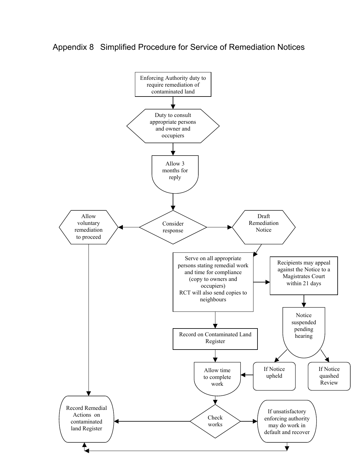## Appendix 8 Simplified Procedure for Service of Remediation Notices

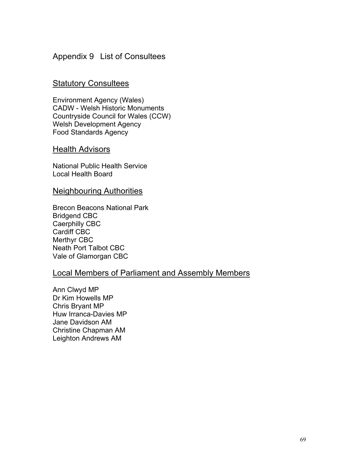## Appendix 9 List of Consultees

## Statutory Consultees

Environment Agency (Wales) CADW - Welsh Historic Monuments Countryside Council for Wales (CCW) Welsh Development Agency Food Standards Agency

#### Health Advisors

National Public Health Service Local Health Board

#### Neighbouring Authorities

Brecon Beacons National Park Bridgend CBC Caerphilly CBC Cardiff CBC Merthyr CBC Neath Port Talbot CBC Vale of Glamorgan CBC

## Local Members of Parliament and Assembly Members

Ann Clwyd MP Dr Kim Howells MP Chris Bryant MP Huw Irranca-Davies MP Jane Davidson AM Christine Chapman AM Leighton Andrews AM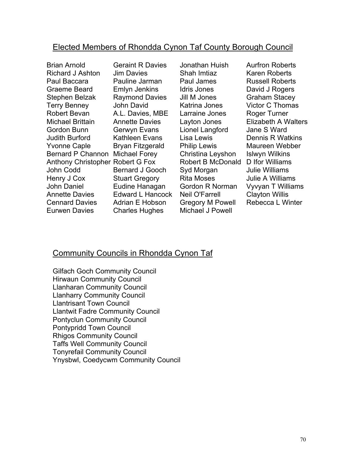## Elected Members of Rhondda Cynon Taf County Borough Council

Brian [Arnold](http://rct_www/councillors/brian_arnold.htm) [Richard](http://rct_www/councillors/richard_ashton.htm) J Ashton Paul [Baccara](http://rct_www/councillors/paul_baccara.htm) [Graeme](http://rct_www/councillors/graeme_beard.htm) Beard [Stephen](http://rct_www/councillors/stephen_belzak.htm) Belzak Terry [Benney](http://rct_www/councillors/terry_benney.htm) [Robert](http://rct_www/councillors/robert_bevan.htm) Bevan [Michael](http://rct_www/councillors/michael_brittain.htm) Brittain [Gordon](http://rct_www/councillors/gordon_bunn.htm) Bunn Judith [Burford](http://rct_www/councillors/judith_burford.htm) [Yvonne](http://rct_www/councillors/yvonne_caple.htm) Caple Bernard P [Channon](http://rct_www/councillors/bernard_channon.htm) [Michael](http://rct_www/councillors/michael_forey.htm) Forey Anthony [Christopher](http://rct_www/councillors/anthony_christopher.htm) [Robert](http://rct_www/councillors/robert_fox.htm) G Fox John [Codd](http://rct_www/councillors/john_codd.htm) [Henry](http://rct_www/councillors/henry_cox.htm) J Cox John [Daniel](http://rct_www/councillors/john_daniel.htm) [Annette](http://rct_www/councillors/annette_daviesP.htm) Davies [Cennard](http://rct_www/councillors/cennard_davies.htm) Davies [Eurwen](http://rct_www/councillors/eurwen_davies.htm) Davies [Geraint](http://rct_www/councillors/geraint_daviesAM.htm) R Davies Jim [Davies](http://rct_www/councillors/jim_davies.htm) [Pauline](http://rct_www/councillors/pauline_jarman.htm) Jarman Emlyn [Jenkins](http://rct_www/councillors/emlyn_jenkins.htm) [Raymond](http://rct_www/councillors/raymond_davies.htm) Davies John [David](http://rct_www/councillors/john_david.htm) [A.L.](http://rct_www/councillors/Alby Davies.htm) Davies, MBE [Annette](http://rct_www/councillors/annette_daviesL.htm) Davies [Gerwyn](http://rct_www/councillors/gerwyn_evans.htm) Evans [Kathleen](http://rct_www/councillors/kathleen_evans.htm) Evans Bryan [Fitzgerald](http://rct_www/councillors/bryan_fitzgerald.htm) [Bernard](http://rct_www/councillors/bernard_gooch.htm) J Gooch Stuart [Gregory](http://rct_www/councillors/stuart_gregory.htm) Eudine [Hanagan](http://rct_www/councillors/eudine_hanagan.htm) Edward L [Hancock](http://rct_www/councillors/edward_hancock.htm) Adrian E [Hobson](http://rct_www/councillors/adrian_hobson.htm) [Charles](http://rct_www/councillors/charles_hughes.htm) Hughes

[Jonathan](http://rct_www/councillors/jonathan_huish.htm) Huish Shah [Imtiaz](http://rct_www/councillors/shah_imtiaz.htm) Paul [James](http://rct_www/councillors/paul_james.htm) Idris [Jones](http://rct_www/councillors/idris_jones.htm) Jill M [Jones](http://rct_www/councillors/jill_jones.htm) [Katrina](http://rct_www/councillors/katrina_jones.htm) Jones [Larraine](http://rct_www/councillors/larraine_jones.htm) Jones [Layton](http://rct_www/councillors/layton_jones.htm) Jones Lionel [Langford](http://rct_www/councillors/lionel_longford.htm) Lisa [Lewis](http://rct_www/councillors/lisa_marie_lewis.htm) Philip [Lewis](http://rct_www/councillors/philip_lewis.htm) [Christina](http://rct_www/councillors/christina_leyshon.htm) Leyshon Robert B [McDonald](http://rct_www/councillors/robert_mcdonald.htm) D Ifor [Williams](http://rct_www/councillors/d_ifor_williams.htm) Syd [Morgan](http://rct_www/councillors/syd_morgan.htm) Rita [Moses](http://rct_www/councillors/rita_moses.htm) Gordon R [Norman](http://rct_www/councillors/gordon_norman.htm) Neil [O'Farrell](http://rct_www/councillors/neil_o) [Gregory](http://rct_www/councillors/greg_powell.htm) M Powell [Michael](http://rct_www/councillors/mike_powell.htm) J Powell

Aurfron [Roberts](http://rct_www/councillors/aurfron_roberts.htm) Karen [Roberts](http://rct_www/councillors/karen_roberts.htm) Russell [Roberts](http://rct_www/councillors/russell_roberts.htm) David J [Rogers](http://rct_www/councillors/david_rogers.htm) [Graham](http://rct_www/councillors/graham_stacey.htm) Stacey Victor C [Thomas](http://rct_www/councillors/victor_thomas.htm) Roger [Turner](http://rct_www/councillors/roger_turner.htm) [Elizabeth](http://rct_www/councillors/elizabeth_walters.htm) A Walters Jane S [Ward](http://rct_www/councillors/jane_ward.htm) Dennis R [Watkins](http://rct_www/councillors/dennis_watkins.htm) [Maureen](http://rct_www/councillors/maureen_webber.htm) Webber Islwyn [Wilkins](http://rct_www/councillors/islywn_wilkins.htm) Julie [Williams](http://rct_www/councillors/julie_williams.htm) Julie A [Williams](http://rct_www/councillors/julieA_williams.htm) Vyvyan T [Williams](http://rct_www/councillors/vyvyan_williams.htm) [Clayton](http://rct_www/councillors/clayton_willis.htm) Willis [Rebecca](http://rct_www/councillors/rebecca_winter.htm) L Winter

## Community Councils in Rhondda Cynon Taf

Gilfach Goch Community Council Hirwaun Community Council Llanharan Community Council Llanharry Community Council Llantrisant Town Council Llantwit Fadre Community Council Pontyclun Community Council Pontypridd Town Council Rhigos Community Council Taffs Well Community Council Tonyrefail Community Council Ynysbwl, Coedycwm Community Council